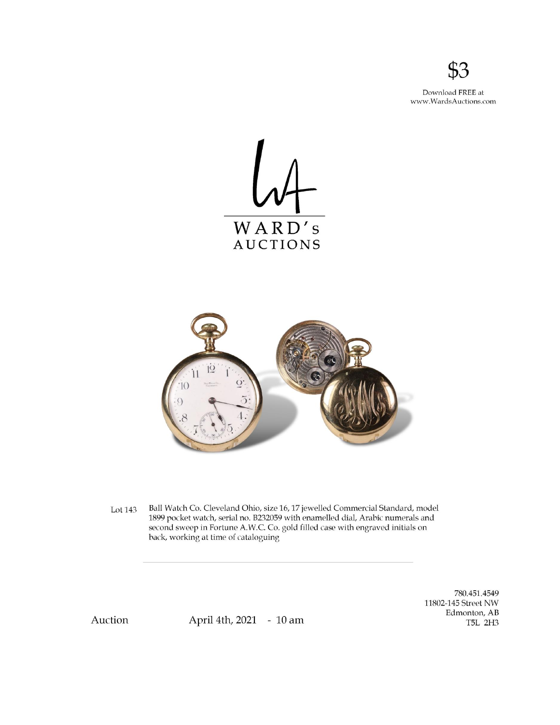

Download FREE at www.WardsAuctions.com





Ball Watch Co. Cleveland Ohio, size 16, 17 jewelled Commercial Standard, model Lot 143 1899 pocket watch, serial no. B232059 with enamelled dial, Arabic numerals and second sweep in Fortune A.W.C. Co. gold filled case with engraved initials on back, working at time of cataloguing

> 780.451.4549 11802-145 Street NW Edmonton, AB T5L 2H3

Auction

April 4th, 2021 - 10 am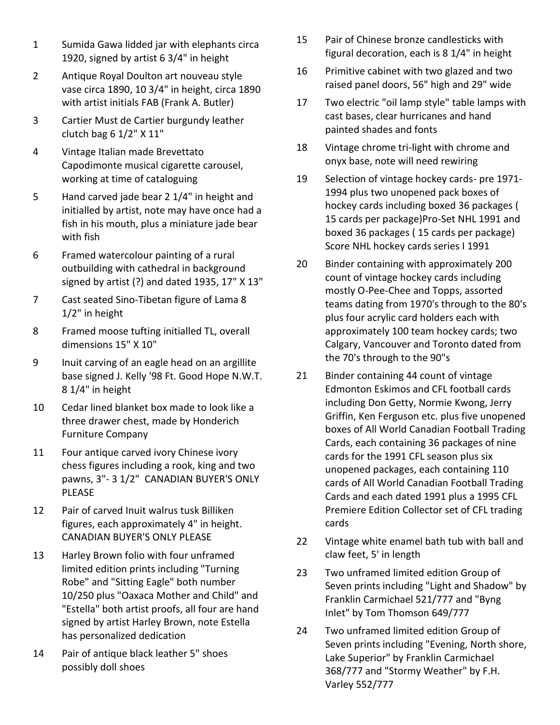- 1 Sumida Gawa lidded jar with elephants circa 1920, signed by artist 6 3/4" in height
- 2 Antique Royal Doulton art nouveau style vase circa 1890, 10 3/4" in height, circa 1890 with artist initials FAB (Frank A. Butler)
- 3 Cartier Must de Cartier burgundy leather clutch bag 6 1/2" X 11"
- 4 Vintage Italian made Brevettato Capodimonte musical cigarette carousel, working at time of cataloguing
- 5 Hand carved jade bear 2 1/4" in height and initialled by artist, note may have once had a fish in his mouth, plus a miniature jade bear with fish
- 6 Framed watercolour painting of a rural outbuilding with cathedral in background signed by artist (?) and dated 1935, 17" X 13"
- 7 Cast seated Sino-Tibetan figure of Lama 8 1/2" in height
- 8 Framed moose tufting initialled TL, overall dimensions 15" X 10"
- 9 Inuit carving of an eagle head on an argillite base signed J. Kelly '98 Ft. Good Hope N.W.T. 8 1/4" in height
- 10 Cedar lined blanket box made to look like a three drawer chest, made by Honderich Furniture Company
- 11 Four antique carved ivory Chinese ivory chess figures including a rook, king and two pawns, 3"- 3 1/2" CANADIAN BUYER'S ONLY PLEASE
- 12 Pair of carved Inuit walrus tusk Billiken figures, each approximately 4" in height. CANADIAN BUYER'S ONLY PLEASE
- 13 Harley Brown folio with four unframed limited edition prints including "Turning Robe" and "Sitting Eagle" both number 10/250 plus "Oaxaca Mother and Child" and "Estella" both artist proofs, all four are hand signed by artist Harley Brown, note Estella has personalized dedication
- 14 Pair of antique black leather 5" shoes possibly doll shoes
- 15 Pair of Chinese bronze candlesticks with figural decoration, each is 8 1/4" in height
- 16 Primitive cabinet with two glazed and two raised panel doors, 56" high and 29" wide
- 17 Two electric "oil lamp style" table lamps with cast bases, clear hurricanes and hand painted shades and fonts
- 18 Vintage chrome tri-light with chrome and onyx base, note will need rewiring
- 19 Selection of vintage hockey cards- pre 1971- 1994 plus two unopened pack boxes of hockey cards including boxed 36 packages ( 15 cards per package)Pro-Set NHL 1991 and boxed 36 packages ( 15 cards per package) Score NHL hockey cards series I 1991
- 20 Binder containing with approximately 200 count of vintage hockey cards including mostly O-Pee-Chee and Topps, assorted teams dating from 1970's through to the 80's plus four acrylic card holders each with approximately 100 team hockey cards; two Calgary, Vancouver and Toronto dated from the 70's through to the 90"s
- 21 Binder containing 44 count of vintage Edmonton Eskimos and CFL football cards including Don Getty, Normie Kwong, Jerry Griffin, Ken Ferguson etc. plus five unopened boxes of All World Canadian Football Trading Cards, each containing 36 packages of nine cards for the 1991 CFL season plus six unopened packages, each containing 110 cards of All World Canadian Football Trading Cards and each dated 1991 plus a 1995 CFL Premiere Edition Collector set of CFL trading cards
- 22 Vintage white enamel bath tub with ball and claw feet, 5' in length
- 23 Two unframed limited edition Group of Seven prints including "Light and Shadow" by Franklin Carmichael 521/777 and "Byng Inlet" by Tom Thomson 649/777
- 24 Two unframed limited edition Group of Seven prints including "Evening, North shore, Lake Superior" by Franklin Carmichael 368/777 and "Stormy Weather" by F.H. Varley 552/777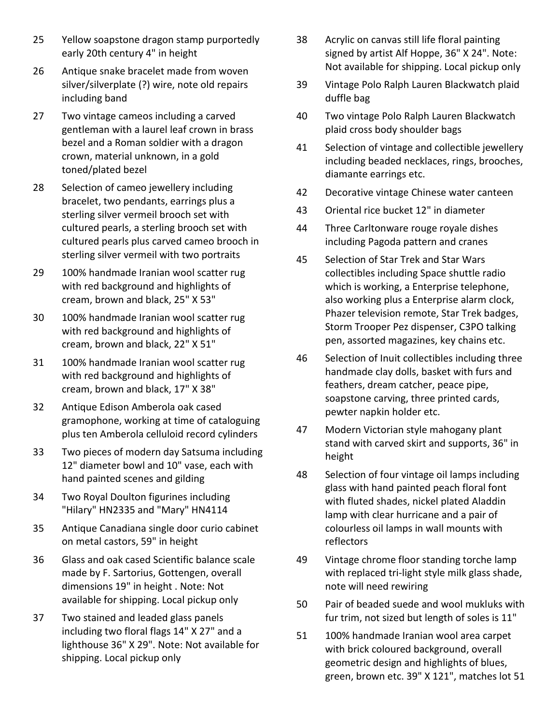- 25 Yellow soapstone dragon stamp purportedly early 20th century 4" in height
- 26 Antique snake bracelet made from woven silver/silverplate (?) wire, note old repairs including band
- 27 Two vintage cameos including a carved gentleman with a laurel leaf crown in brass bezel and a Roman soldier with a dragon crown, material unknown, in a gold toned/plated bezel
- 28 Selection of cameo jewellery including bracelet, two pendants, earrings plus a sterling silver vermeil brooch set with cultured pearls, a sterling brooch set with cultured pearls plus carved cameo brooch in sterling silver vermeil with two portraits
- 29 100% handmade Iranian wool scatter rug with red background and highlights of cream, brown and black, 25" X 53"
- 30 100% handmade Iranian wool scatter rug with red background and highlights of cream, brown and black, 22" X 51"
- 31 100% handmade Iranian wool scatter rug with red background and highlights of cream, brown and black, 17" X 38"
- 32 Antique Edison Amberola oak cased gramophone, working at time of cataloguing plus ten Amberola celluloid record cylinders
- 33 Two pieces of modern day Satsuma including 12" diameter bowl and 10" vase, each with hand painted scenes and gilding
- 34 Two Royal Doulton figurines including "Hilary" HN2335 and "Mary" HN4114
- 35 Antique Canadiana single door curio cabinet on metal castors, 59" in height
- 36 Glass and oak cased Scientific balance scale made by F. Sartorius, Gottengen, overall dimensions 19" in height . Note: Not available for shipping. Local pickup only
- 37 Two stained and leaded glass panels including two floral flags 14" X 27" and a lighthouse 36" X 29". Note: Not available for shipping. Local pickup only
- 38 Acrylic on canvas still life floral painting signed by artist Alf Hoppe, 36" X 24". Note: Not available for shipping. Local pickup only
- 39 Vintage Polo Ralph Lauren Blackwatch plaid duffle bag
- 40 Two vintage Polo Ralph Lauren Blackwatch plaid cross body shoulder bags
- 41 Selection of vintage and collectible jewellery including beaded necklaces, rings, brooches, diamante earrings etc.
- 42 Decorative vintage Chinese water canteen
- 43 Oriental rice bucket 12" in diameter
- 44 Three Carltonware rouge royale dishes including Pagoda pattern and cranes
- 45 Selection of Star Trek and Star Wars collectibles including Space shuttle radio which is working, a Enterprise telephone, also working plus a Enterprise alarm clock, Phazer television remote, Star Trek badges, Storm Trooper Pez dispenser, C3PO talking pen, assorted magazines, key chains etc.
- 46 Selection of Inuit collectibles including three handmade clay dolls, basket with furs and feathers, dream catcher, peace pipe, soapstone carving, three printed cards, pewter napkin holder etc.
- 47 Modern Victorian style mahogany plant stand with carved skirt and supports, 36" in height
- 48 Selection of four vintage oil lamps including glass with hand painted peach floral font with fluted shades, nickel plated Aladdin lamp with clear hurricane and a pair of colourless oil lamps in wall mounts with reflectors
- 49 Vintage chrome floor standing torche lamp with replaced tri-light style milk glass shade, note will need rewiring
- 50 Pair of beaded suede and wool mukluks with fur trim, not sized but length of soles is 11"
- 51 100% handmade Iranian wool area carpet with brick coloured background, overall geometric design and highlights of blues, green, brown etc. 39" X 121", matches lot 51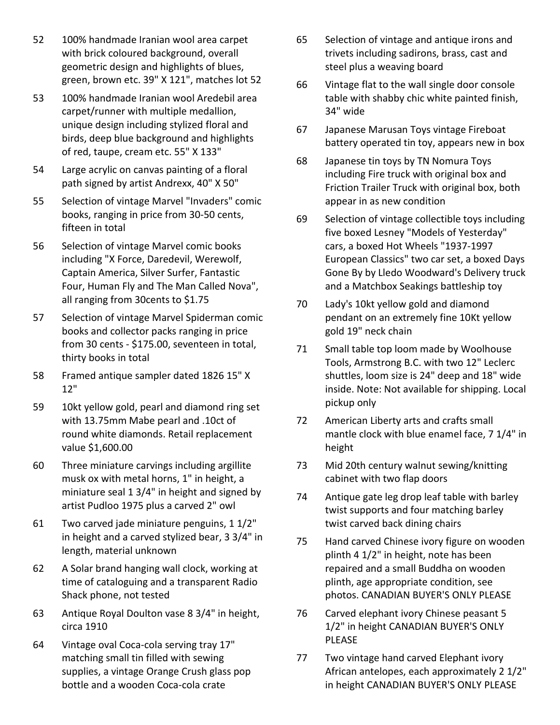- 52 100% handmade Iranian wool area carpet with brick coloured background, overall geometric design and highlights of blues, green, brown etc. 39" X 121", matches lot 52
- 53 100% handmade Iranian wool Aredebil area carpet/runner with multiple medallion, unique design including stylized floral and birds, deep blue background and highlights of red, taupe, cream etc. 55" X 133"
- 54 Large acrylic on canvas painting of a floral path signed by artist Andrexx, 40" X 50"
- 55 Selection of vintage Marvel "Invaders" comic books, ranging in price from 30-50 cents, fifteen in total
- 56 Selection of vintage Marvel comic books including "X Force, Daredevil, Werewolf, Captain America, Silver Surfer, Fantastic Four, Human Fly and The Man Called Nova", all ranging from 30cents to \$1.75
- 57 Selection of vintage Marvel Spiderman comic books and collector packs ranging in price from 30 cents - \$175.00, seventeen in total, thirty books in total
- 58 Framed antique sampler dated 1826 15" X 12"
- 59 10kt yellow gold, pearl and diamond ring set with 13.75mm Mabe pearl and .10ct of round white diamonds. Retail replacement value \$1,600.00
- 60 Three miniature carvings including argillite musk ox with metal horns, 1" in height, a miniature seal 1 3/4" in height and signed by artist Pudloo 1975 plus a carved 2" owl
- 61 Two carved jade miniature penguins, 1 1/2" in height and a carved stylized bear, 3 3/4" in length, material unknown
- 62 A Solar brand hanging wall clock, working at time of cataloguing and a transparent Radio Shack phone, not tested
- 63 Antique Royal Doulton vase 8 3/4" in height, circa 1910
- 64 Vintage oval Coca-cola serving tray 17" matching small tin filled with sewing supplies, a vintage Orange Crush glass pop bottle and a wooden Coca-cola crate
- 65 Selection of vintage and antique irons and trivets including sadirons, brass, cast and steel plus a weaving board
- 66 Vintage flat to the wall single door console table with shabby chic white painted finish, 34" wide
- 67 Japanese Marusan Toys vintage Fireboat battery operated tin toy, appears new in box
- 68 Japanese tin toys by TN Nomura Toys including Fire truck with original box and Friction Trailer Truck with original box, both appear in as new condition
- 69 Selection of vintage collectible toys including five boxed Lesney "Models of Yesterday" cars, a boxed Hot Wheels "1937-1997 European Classics" two car set, a boxed Days Gone By by Lledo Woodward's Delivery truck and a Matchbox Seakings battleship toy
- 70 Lady's 10kt yellow gold and diamond pendant on an extremely fine 10Kt yellow gold 19" neck chain
- 71 Small table top loom made by Woolhouse Tools, Armstrong B.C. with two 12" Leclerc shuttles, loom size is 24" deep and 18" wide inside. Note: Not available for shipping. Local pickup only
- 72 American Liberty arts and crafts small mantle clock with blue enamel face, 7 1/4" in height
- 73 Mid 20th century walnut sewing/knitting cabinet with two flap doors
- 74 Antique gate leg drop leaf table with barley twist supports and four matching barley twist carved back dining chairs
- 75 Hand carved Chinese ivory figure on wooden plinth 4 1/2" in height, note has been repaired and a small Buddha on wooden plinth, age appropriate condition, see photos. CANADIAN BUYER'S ONLY PLEASE
- 76 Carved elephant ivory Chinese peasant 5 1/2" in height CANADIAN BUYER'S ONLY PLEASE
- 77 Two vintage hand carved Elephant ivory African antelopes, each approximately 2 1/2" in height CANADIAN BUYER'S ONLY PLEASE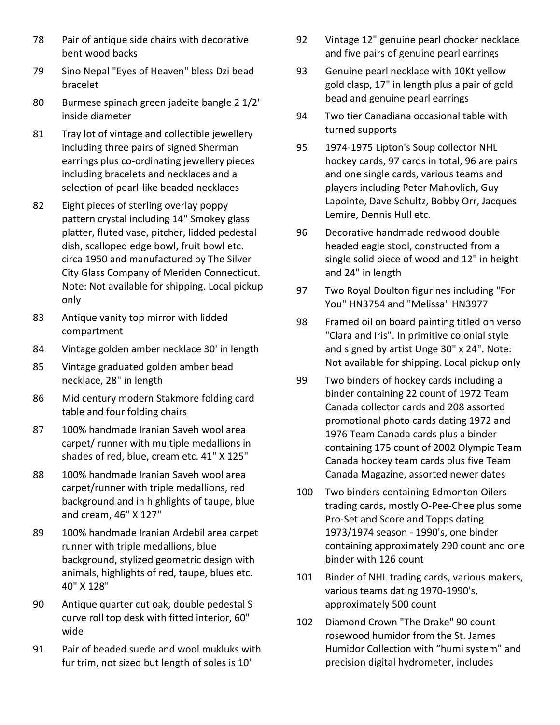- 78 Pair of antique side chairs with decorative bent wood backs
- 79 Sino Nepal "Eyes of Heaven" bless Dzi bead bracelet
- 80 Burmese spinach green jadeite bangle 2 1/2' inside diameter
- 81 Tray lot of vintage and collectible jewellery including three pairs of signed Sherman earrings plus co-ordinating jewellery pieces including bracelets and necklaces and a selection of pearl-like beaded necklaces
- 82 Eight pieces of sterling overlay poppy pattern crystal including 14" Smokey glass platter, fluted vase, pitcher, lidded pedestal dish, scalloped edge bowl, fruit bowl etc. circa 1950 and manufactured by The Silver City Glass Company of Meriden Connecticut. Note: Not available for shipping. Local pickup only
- 83 Antique vanity top mirror with lidded compartment
- 84 Vintage golden amber necklace 30' in length
- 85 Vintage graduated golden amber bead necklace, 28" in length
- 86 Mid century modern Stakmore folding card table and four folding chairs
- 87 100% handmade Iranian Saveh wool area carpet/ runner with multiple medallions in shades of red, blue, cream etc. 41" X 125"
- 88 100% handmade Iranian Saveh wool area carpet/runner with triple medallions, red background and in highlights of taupe, blue and cream, 46" X 127"
- 89 100% handmade Iranian Ardebil area carpet runner with triple medallions, blue background, stylized geometric design with animals, highlights of red, taupe, blues etc. 40" X 128"
- 90 Antique quarter cut oak, double pedestal S curve roll top desk with fitted interior, 60" wide
- 91 Pair of beaded suede and wool mukluks with fur trim, not sized but length of soles is 10"
- 92 Vintage 12" genuine pearl chocker necklace and five pairs of genuine pearl earrings
- 93 Genuine pearl necklace with 10Kt yellow gold clasp, 17" in length plus a pair of gold bead and genuine pearl earrings
- 94 Two tier Canadiana occasional table with turned supports
- 95 1974-1975 Lipton's Soup collector NHL hockey cards, 97 cards in total, 96 are pairs and one single cards, various teams and players including Peter Mahovlich, Guy Lapointe, Dave Schultz, Bobby Orr, Jacques Lemire, Dennis Hull etc.
- 96 Decorative handmade redwood double headed eagle stool, constructed from a single solid piece of wood and 12" in height and 24" in length
- 97 Two Royal Doulton figurines including "For You" HN3754 and "Melissa" HN3977
- 98 Framed oil on board painting titled on verso "Clara and Iris". In primitive colonial style and signed by artist Unge 30" x 24". Note: Not available for shipping. Local pickup only
- 99 Two binders of hockey cards including a binder containing 22 count of 1972 Team Canada collector cards and 208 assorted promotional photo cards dating 1972 and 1976 Team Canada cards plus a binder containing 175 count of 2002 Olympic Team Canada hockey team cards plus five Team Canada Magazine, assorted newer dates
- 100 Two binders containing Edmonton Oilers trading cards, mostly O-Pee-Chee plus some Pro-Set and Score and Topps dating 1973/1974 season - 1990's, one binder containing approximately 290 count and one binder with 126 count
- 101 Binder of NHL trading cards, various makers, various teams dating 1970-1990's, approximately 500 count
- 102 Diamond Crown "The Drake" 90 count rosewood humidor from the St. James Humidor Collection with "humi system" and precision digital hydrometer, includes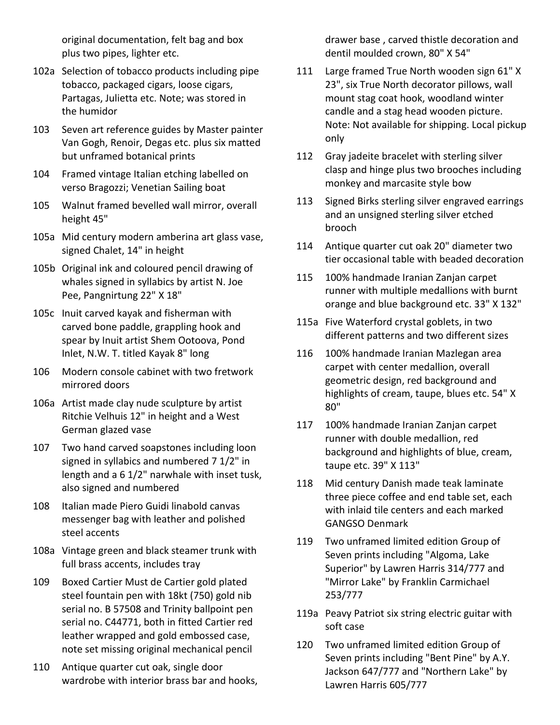original documentation, felt bag and box plus two pipes, lighter etc.

- 102a Selection of tobacco products including pipe tobacco, packaged cigars, loose cigars, Partagas, Julietta etc. Note; was stored in the humidor
- 103 Seven art reference guides by Master painter Van Gogh, Renoir, Degas etc. plus six matted but unframed botanical prints
- 104 Framed vintage Italian etching labelled on verso Bragozzi; Venetian Sailing boat
- 105 Walnut framed bevelled wall mirror, overall height 45"
- 105a Mid century modern amberina art glass vase, signed Chalet, 14" in height
- 105b Original ink and coloured pencil drawing of whales signed in syllabics by artist N. Joe Pee, Pangnirtung 22" X 18"
- 105c Inuit carved kayak and fisherman with carved bone paddle, grappling hook and spear by Inuit artist Shem Ootoova, Pond Inlet, N.W. T. titled Kayak 8" long
- 106 Modern console cabinet with two fretwork mirrored doors
- 106a Artist made clay nude sculpture by artist Ritchie Velhuis 12" in height and a West German glazed vase
- 107 Two hand carved soapstones including loon signed in syllabics and numbered 7 1/2" in length and a 6 1/2" narwhale with inset tusk, also signed and numbered
- 108 Italian made Piero Guidi linabold canvas messenger bag with leather and polished steel accents
- 108a Vintage green and black steamer trunk with full brass accents, includes tray
- 109 Boxed Cartier Must de Cartier gold plated steel fountain pen with 18kt (750) gold nib serial no. B 57508 and Trinity ballpoint pen serial no. C44771, both in fitted Cartier red leather wrapped and gold embossed case, note set missing original mechanical pencil
- 110 Antique quarter cut oak, single door wardrobe with interior brass bar and hooks,

drawer base , carved thistle decoration and dentil moulded crown, 80" X 54"

- 111 Large framed True North wooden sign 61" X 23", six True North decorator pillows, wall mount stag coat hook, woodland winter candle and a stag head wooden picture. Note: Not available for shipping. Local pickup only
- 112 Gray jadeite bracelet with sterling silver clasp and hinge plus two brooches including monkey and marcasite style bow
- 113 Signed Birks sterling silver engraved earrings and an unsigned sterling silver etched brooch
- 114 Antique quarter cut oak 20" diameter two tier occasional table with beaded decoration
- 115 100% handmade Iranian Zanjan carpet runner with multiple medallions with burnt orange and blue background etc. 33" X 132"
- 115a Five Waterford crystal goblets, in two different patterns and two different sizes
- 116 100% handmade Iranian Mazlegan area carpet with center medallion, overall geometric design, red background and highlights of cream, taupe, blues etc. 54" X 80"
- 117 100% handmade Iranian Zanjan carpet runner with double medallion, red background and highlights of blue, cream, taupe etc. 39" X 113"
- 118 Mid century Danish made teak laminate three piece coffee and end table set, each with inlaid tile centers and each marked GANGSO Denmark
- 119 Two unframed limited edition Group of Seven prints including "Algoma, Lake Superior" by Lawren Harris 314/777 and "Mirror Lake" by Franklin Carmichael 253/777
- 119a Peavy Patriot six string electric guitar with soft case
- 120 Two unframed limited edition Group of Seven prints including "Bent Pine" by A.Y. Jackson 647/777 and "Northern Lake" by Lawren Harris 605/777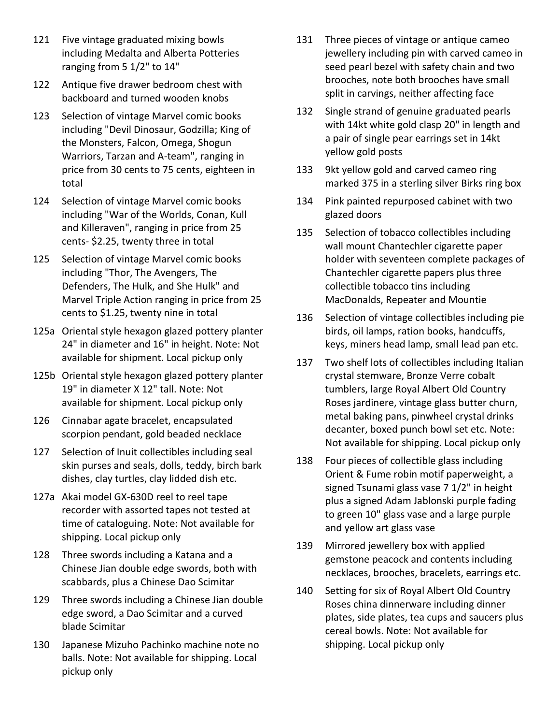- 121 Five vintage graduated mixing bowls including Medalta and Alberta Potteries ranging from 5 1/2" to 14"
- 122 Antique five drawer bedroom chest with backboard and turned wooden knobs
- 123 Selection of vintage Marvel comic books including "Devil Dinosaur, Godzilla; King of the Monsters, Falcon, Omega, Shogun Warriors, Tarzan and A-team", ranging in price from 30 cents to 75 cents, eighteen in total
- 124 Selection of vintage Marvel comic books including "War of the Worlds, Conan, Kull and Killeraven", ranging in price from 25 cents- \$2.25, twenty three in total
- 125 Selection of vintage Marvel comic books including "Thor, The Avengers, The Defenders, The Hulk, and She Hulk" and Marvel Triple Action ranging in price from 25 cents to \$1.25, twenty nine in total
- 125a Oriental style hexagon glazed pottery planter 24" in diameter and 16" in height. Note: Not available for shipment. Local pickup only
- 125b Oriental style hexagon glazed pottery planter 19" in diameter X 12" tall. Note: Not available for shipment. Local pickup only
- 126 Cinnabar agate bracelet, encapsulated scorpion pendant, gold beaded necklace
- 127 Selection of Inuit collectibles including seal skin purses and seals, dolls, teddy, birch bark dishes, clay turtles, clay lidded dish etc.
- 127a Akai model GX-630D reel to reel tape recorder with assorted tapes not tested at time of cataloguing. Note: Not available for shipping. Local pickup only
- 128 Three swords including a Katana and a Chinese Jian double edge swords, both with scabbards, plus a Chinese Dao Scimitar
- 129 Three swords including a Chinese Jian double edge sword, a Dao Scimitar and a curved blade Scimitar
- 130 Japanese Mizuho Pachinko machine note no balls. Note: Not available for shipping. Local pickup only
- 131 Three pieces of vintage or antique cameo jewellery including pin with carved cameo in seed pearl bezel with safety chain and two brooches, note both brooches have small split in carvings, neither affecting face
- 132 Single strand of genuine graduated pearls with 14kt white gold clasp 20" in length and a pair of single pear earrings set in 14kt yellow gold posts
- 133 9kt yellow gold and carved cameo ring marked 375 in a sterling silver Birks ring box
- 134 Pink painted repurposed cabinet with two glazed doors
- 135 Selection of tobacco collectibles including wall mount Chantechler cigarette paper holder with seventeen complete packages of Chantechler cigarette papers plus three collectible tobacco tins including MacDonalds, Repeater and Mountie
- 136 Selection of vintage collectibles including pie birds, oil lamps, ration books, handcuffs, keys, miners head lamp, small lead pan etc.
- 137 Two shelf lots of collectibles including Italian crystal stemware, Bronze Verre cobalt tumblers, large Royal Albert Old Country Roses jardinere, vintage glass butter churn, metal baking pans, pinwheel crystal drinks decanter, boxed punch bowl set etc. Note: Not available for shipping. Local pickup only
- 138 Four pieces of collectible glass including Orient & Fume robin motif paperweight, a signed Tsunami glass vase 7 1/2" in height plus a signed Adam Jablonski purple fading to green 10" glass vase and a large purple and yellow art glass vase
- 139 Mirrored jewellery box with applied gemstone peacock and contents including necklaces, brooches, bracelets, earrings etc.
- 140 Setting for six of Royal Albert Old Country Roses china dinnerware including dinner plates, side plates, tea cups and saucers plus cereal bowls. Note: Not available for shipping. Local pickup only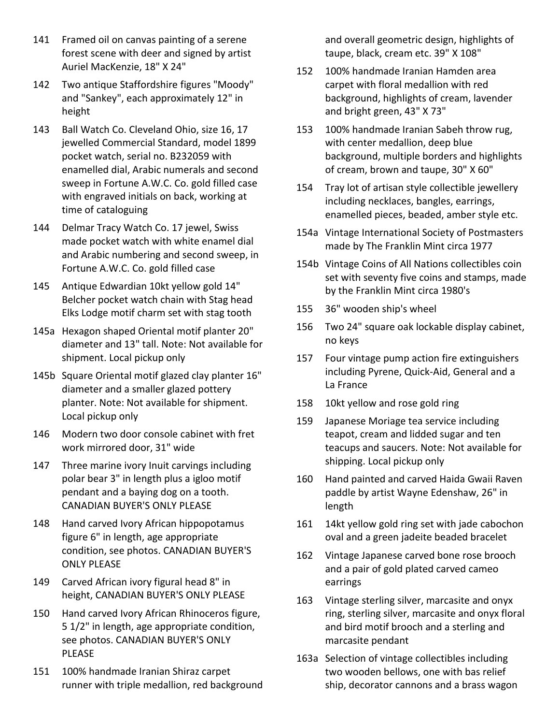- 141 Framed oil on canvas painting of a serene forest scene with deer and signed by artist Auriel MacKenzie, 18" X 24"
- 142 Two antique Staffordshire figures "Moody" and "Sankey", each approximately 12" in height
- 143 Ball Watch Co. Cleveland Ohio, size 16, 17 jewelled Commercial Standard, model 1899 pocket watch, serial no. B232059 with enamelled dial, Arabic numerals and second sweep in Fortune A.W.C. Co. gold filled case with engraved initials on back, working at time of cataloguing
- 144 Delmar Tracy Watch Co. 17 jewel, Swiss made pocket watch with white enamel dial and Arabic numbering and second sweep, in Fortune A.W.C. Co. gold filled case
- 145 Antique Edwardian 10kt yellow gold 14" Belcher pocket watch chain with Stag head Elks Lodge motif charm set with stag tooth
- 145a Hexagon shaped Oriental motif planter 20" diameter and 13" tall. Note: Not available for shipment. Local pickup only
- 145b Square Oriental motif glazed clay planter 16" diameter and a smaller glazed pottery planter. Note: Not available for shipment. Local pickup only
- 146 Modern two door console cabinet with fret work mirrored door, 31" wide
- 147 Three marine ivory Inuit carvings including polar bear 3" in length plus a igloo motif pendant and a baying dog on a tooth. CANADIAN BUYER'S ONLY PLEASE
- 148 Hand carved Ivory African hippopotamus figure 6" in length, age appropriate condition, see photos. CANADIAN BUYER'S ONLY PLEASE
- 149 Carved African ivory figural head 8" in height, CANADIAN BUYER'S ONLY PLEASE
- 150 Hand carved Ivory African Rhinoceros figure, 5 1/2" in length, age appropriate condition, see photos. CANADIAN BUYER'S ONLY PLEASE
- 151 100% handmade Iranian Shiraz carpet runner with triple medallion, red background

and overall geometric design, highlights of taupe, black, cream etc. 39" X 108"

- 152 100% handmade Iranian Hamden area carpet with floral medallion with red background, highlights of cream, lavender and bright green, 43" X 73"
- 153 100% handmade Iranian Sabeh throw rug, with center medallion, deep blue background, multiple borders and highlights of cream, brown and taupe, 30" X 60"
- 154 Tray lot of artisan style collectible jewellery including necklaces, bangles, earrings, enamelled pieces, beaded, amber style etc.
- 154a Vintage International Society of Postmasters made by The Franklin Mint circa 1977
- 154b Vintage Coins of All Nations collectibles coin set with seventy five coins and stamps, made by the Franklin Mint circa 1980's
- 155 36" wooden ship's wheel
- 156 Two 24" square oak lockable display cabinet, no keys
- 157 Four vintage pump action fire extinguishers including Pyrene, Quick-Aid, General and a La France
- 158 10kt yellow and rose gold ring
- 159 Japanese Moriage tea service including teapot, cream and lidded sugar and ten teacups and saucers. Note: Not available for shipping. Local pickup only
- 160 Hand painted and carved Haida Gwaii Raven paddle by artist Wayne Edenshaw, 26" in length
- 161 14kt yellow gold ring set with jade cabochon oval and a green jadeite beaded bracelet
- 162 Vintage Japanese carved bone rose brooch and a pair of gold plated carved cameo earrings
- 163 Vintage sterling silver, marcasite and onyx ring, sterling silver, marcasite and onyx floral and bird motif brooch and a sterling and marcasite pendant
- 163a Selection of vintage collectibles including two wooden bellows, one with bas relief ship, decorator cannons and a brass wagon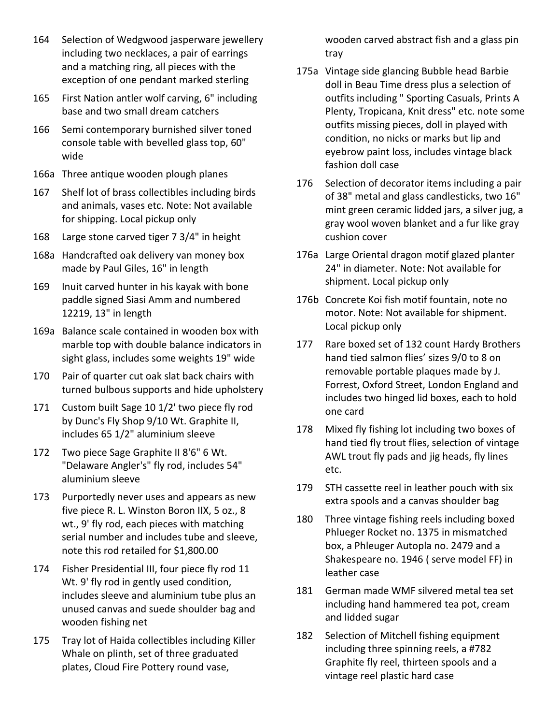- 164 Selection of Wedgwood jasperware jewellery including two necklaces, a pair of earrings and a matching ring, all pieces with the exception of one pendant marked sterling
- 165 First Nation antler wolf carving, 6" including base and two small dream catchers
- 166 Semi contemporary burnished silver toned console table with bevelled glass top, 60" wide
- 166a Three antique wooden plough planes
- 167 Shelf lot of brass collectibles including birds and animals, vases etc. Note: Not available for shipping. Local pickup only
- 168 Large stone carved tiger 7 3/4" in height
- 168a Handcrafted oak delivery van money box made by Paul Giles, 16" in length
- 169 Inuit carved hunter in his kayak with bone paddle signed Siasi Amm and numbered 12219, 13" in length
- 169a Balance scale contained in wooden box with marble top with double balance indicators in sight glass, includes some weights 19" wide
- 170 Pair of quarter cut oak slat back chairs with turned bulbous supports and hide upholstery
- 171 Custom built Sage 10 1/2' two piece fly rod by Dunc's Fly Shop 9/10 Wt. Graphite II, includes 65 1/2" aluminium sleeve
- 172 Two piece Sage Graphite II 8'6" 6 Wt. "Delaware Angler's" fly rod, includes 54" aluminium sleeve
- 173 Purportedly never uses and appears as new five piece R. L. Winston Boron IIX, 5 oz., 8 wt., 9' fly rod, each pieces with matching serial number and includes tube and sleeve, note this rod retailed for \$1,800.00
- 174 Fisher Presidential III, four piece fly rod 11 Wt. 9' fly rod in gently used condition, includes sleeve and aluminium tube plus an unused canvas and suede shoulder bag and wooden fishing net
- 175 Tray lot of Haida collectibles including Killer Whale on plinth, set of three graduated plates, Cloud Fire Pottery round vase,

wooden carved abstract fish and a glass pin tray

- 175a Vintage side glancing Bubble head Barbie doll in Beau Time dress plus a selection of outfits including " Sporting Casuals, Prints A Plenty, Tropicana, Knit dress" etc. note some outfits missing pieces, doll in played with condition, no nicks or marks but lip and eyebrow paint loss, includes vintage black fashion doll case
- 176 Selection of decorator items including a pair of 38" metal and glass candlesticks, two 16" mint green ceramic lidded jars, a silver jug, a gray wool woven blanket and a fur like gray cushion cover
- 176a Large Oriental dragon motif glazed planter 24" in diameter. Note: Not available for shipment. Local pickup only
- 176b Concrete Koi fish motif fountain, note no motor. Note: Not available for shipment. Local pickup only
- 177 Rare boxed set of 132 count Hardy Brothers hand tied salmon flies' sizes 9/0 to 8 on removable portable plaques made by J. Forrest, Oxford Street, London England and includes two hinged lid boxes, each to hold one card
- 178 Mixed fly fishing lot including two boxes of hand tied fly trout flies, selection of vintage AWL trout fly pads and jig heads, fly lines etc.
- 179 STH cassette reel in leather pouch with six extra spools and a canvas shoulder bag
- 180 Three vintage fishing reels including boxed Phlueger Rocket no. 1375 in mismatched box, a Phleuger Autopla no. 2479 and a Shakespeare no. 1946 ( serve model FF) in leather case
- 181 German made WMF silvered metal tea set including hand hammered tea pot, cream and lidded sugar
- 182 Selection of Mitchell fishing equipment including three spinning reels, a #782 Graphite fly reel, thirteen spools and a vintage reel plastic hard case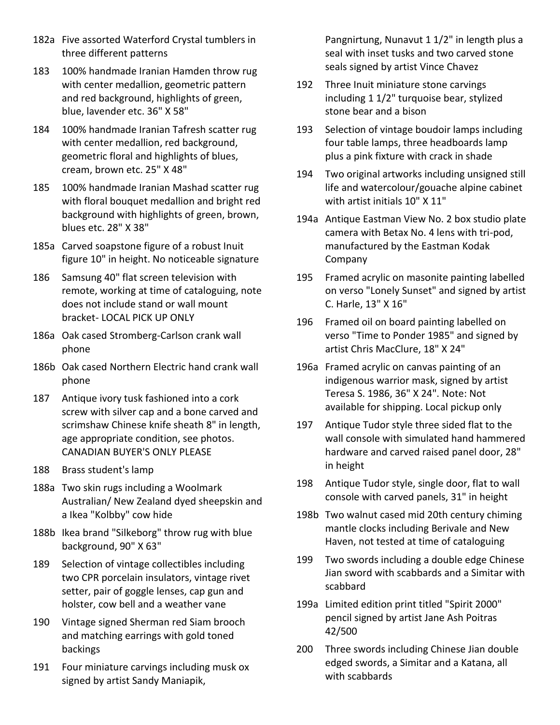- 182a Five assorted Waterford Crystal tumblers in three different patterns
- 183 100% handmade Iranian Hamden throw rug with center medallion, geometric pattern and red background, highlights of green, blue, lavender etc. 36" X 58"
- 184 100% handmade Iranian Tafresh scatter rug with center medallion, red background, geometric floral and highlights of blues, cream, brown etc. 25" X 48"
- 185 100% handmade Iranian Mashad scatter rug with floral bouquet medallion and bright red background with highlights of green, brown, blues etc. 28" X 38"
- 185a Carved soapstone figure of a robust Inuit figure 10" in height. No noticeable signature
- 186 Samsung 40" flat screen television with remote, working at time of cataloguing, note does not include stand or wall mount bracket- LOCAL PICK UP ONLY
- 186a Oak cased Stromberg-Carlson crank wall phone
- 186b Oak cased Northern Electric hand crank wall phone
- 187 Antique ivory tusk fashioned into a cork screw with silver cap and a bone carved and scrimshaw Chinese knife sheath 8" in length, age appropriate condition, see photos. CANADIAN BUYER'S ONLY PLEASE
- 188 Brass student's lamp
- 188a Two skin rugs including a Woolmark Australian/ New Zealand dyed sheepskin and a Ikea "Kolbby" cow hide
- 188b Ikea brand "Silkeborg" throw rug with blue background, 90" X 63"
- 189 Selection of vintage collectibles including two CPR porcelain insulators, vintage rivet setter, pair of goggle lenses, cap gun and holster, cow bell and a weather vane
- 190 Vintage signed Sherman red Siam brooch and matching earrings with gold toned backings
- 191 Four miniature carvings including musk ox signed by artist Sandy Maniapik,

Pangnirtung, Nunavut 1 1/2" in length plus a seal with inset tusks and two carved stone seals signed by artist Vince Chavez

- 192 Three Inuit miniature stone carvings including 1 1/2" turquoise bear, stylized stone bear and a bison
- 193 Selection of vintage boudoir lamps including four table lamps, three headboards lamp plus a pink fixture with crack in shade
- 194 Two original artworks including unsigned still life and watercolour/gouache alpine cabinet with artist initials 10" X 11"
- 194a Antique Eastman View No. 2 box studio plate camera with Betax No. 4 lens with tri-pod, manufactured by the Eastman Kodak Company
- 195 Framed acrylic on masonite painting labelled on verso "Lonely Sunset" and signed by artist C. Harle, 13" X 16"
- 196 Framed oil on board painting labelled on verso "Time to Ponder 1985" and signed by artist Chris MacClure, 18" X 24"
- 196a Framed acrylic on canvas painting of an indigenous warrior mask, signed by artist Teresa S. 1986, 36" X 24". Note: Not available for shipping. Local pickup only
- 197 Antique Tudor style three sided flat to the wall console with simulated hand hammered hardware and carved raised panel door, 28" in height
- 198 Antique Tudor style, single door, flat to wall console with carved panels, 31" in height
- 198b Two walnut cased mid 20th century chiming mantle clocks including Berivale and New Haven, not tested at time of cataloguing
- 199 Two swords including a double edge Chinese Jian sword with scabbards and a Simitar with scabbard
- 199a Limited edition print titled "Spirit 2000" pencil signed by artist Jane Ash Poitras 42/500
- 200 Three swords including Chinese Jian double edged swords, a Simitar and a Katana, all with scabbards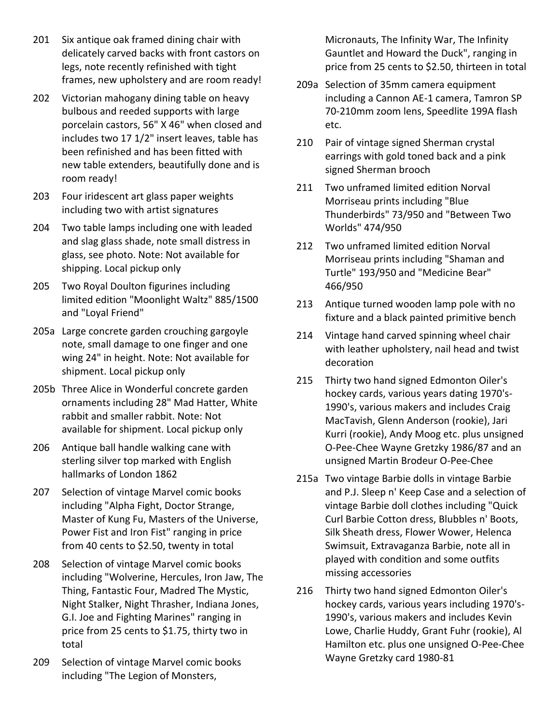- 201 Six antique oak framed dining chair with delicately carved backs with front castors on legs, note recently refinished with tight frames, new upholstery and are room ready!
- 202 Victorian mahogany dining table on heavy bulbous and reeded supports with large porcelain castors, 56" X 46" when closed and includes two 17 1/2" insert leaves, table has been refinished and has been fitted with new table extenders, beautifully done and is room ready!
- 203 Four iridescent art glass paper weights including two with artist signatures
- 204 Two table lamps including one with leaded and slag glass shade, note small distress in glass, see photo. Note: Not available for shipping. Local pickup only
- 205 Two Royal Doulton figurines including limited edition "Moonlight Waltz" 885/1500 and "Loyal Friend"
- 205a Large concrete garden crouching gargoyle note, small damage to one finger and one wing 24" in height. Note: Not available for shipment. Local pickup only
- 205b Three Alice in Wonderful concrete garden ornaments including 28" Mad Hatter, White rabbit and smaller rabbit. Note: Not available for shipment. Local pickup only
- 206 Antique ball handle walking cane with sterling silver top marked with English hallmarks of London 1862
- 207 Selection of vintage Marvel comic books including "Alpha Fight, Doctor Strange, Master of Kung Fu, Masters of the Universe, Power Fist and Iron Fist" ranging in price from 40 cents to \$2.50, twenty in total
- 208 Selection of vintage Marvel comic books including "Wolverine, Hercules, Iron Jaw, The Thing, Fantastic Four, Madred The Mystic, Night Stalker, Night Thrasher, Indiana Jones, G.I. Joe and Fighting Marines" ranging in price from 25 cents to \$1.75, thirty two in total
- 209 Selection of vintage Marvel comic books including "The Legion of Monsters,

Micronauts, The Infinity War, The Infinity Gauntlet and Howard the Duck", ranging in price from 25 cents to \$2.50, thirteen in total

- 209a Selection of 35mm camera equipment including a Cannon AE-1 camera, Tamron SP 70-210mm zoom lens, Speedlite 199A flash etc.
- 210 Pair of vintage signed Sherman crystal earrings with gold toned back and a pink signed Sherman brooch
- 211 Two unframed limited edition Norval Morriseau prints including "Blue Thunderbirds" 73/950 and "Between Two Worlds" 474/950
- 212 Two unframed limited edition Norval Morriseau prints including "Shaman and Turtle" 193/950 and "Medicine Bear" 466/950
- 213 Antique turned wooden lamp pole with no fixture and a black painted primitive bench
- 214 Vintage hand carved spinning wheel chair with leather upholstery, nail head and twist decoration
- 215 Thirty two hand signed Edmonton Oiler's hockey cards, various years dating 1970's-1990's, various makers and includes Craig MacTavish, Glenn Anderson (rookie), Jari Kurri (rookie), Andy Moog etc. plus unsigned O-Pee-Chee Wayne Gretzky 1986/87 and an unsigned Martin Brodeur O-Pee-Chee
- 215a Two vintage Barbie dolls in vintage Barbie and P.J. Sleep n' Keep Case and a selection of vintage Barbie doll clothes including "Quick Curl Barbie Cotton dress, Blubbles n' Boots, Silk Sheath dress, Flower Wower, Helenca Swimsuit, Extravaganza Barbie, note all in played with condition and some outfits missing accessories
- 216 Thirty two hand signed Edmonton Oiler's hockey cards, various years including 1970's-1990's, various makers and includes Kevin Lowe, Charlie Huddy, Grant Fuhr (rookie), Al Hamilton etc. plus one unsigned O-Pee-Chee Wayne Gretzky card 1980-81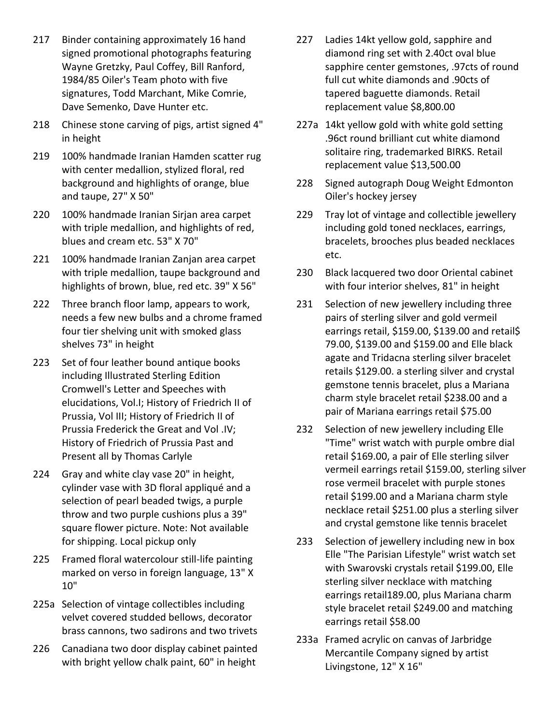- 217 Binder containing approximately 16 hand signed promotional photographs featuring Wayne Gretzky, Paul Coffey, Bill Ranford, 1984/85 Oiler's Team photo with five signatures, Todd Marchant, Mike Comrie, Dave Semenko, Dave Hunter etc.
- 218 Chinese stone carving of pigs, artist signed 4" in height
- 219 100% handmade Iranian Hamden scatter rug with center medallion, stylized floral, red background and highlights of orange, blue and taupe, 27" X 50"
- 220 100% handmade Iranian Sirjan area carpet with triple medallion, and highlights of red, blues and cream etc. 53" X 70"
- 221 100% handmade Iranian Zanjan area carpet with triple medallion, taupe background and highlights of brown, blue, red etc. 39" X 56"
- 222 Three branch floor lamp, appears to work, needs a few new bulbs and a chrome framed four tier shelving unit with smoked glass shelves 73" in height
- 223 Set of four leather bound antique books including Illustrated Sterling Edition Cromwell's Letter and Speeches with elucidations, Vol.I; History of Friedrich II of Prussia, Vol III; History of Friedrich II of Prussia Frederick the Great and Vol .IV; History of Friedrich of Prussia Past and Present all by Thomas Carlyle
- 224 Gray and white clay vase 20" in height, cylinder vase with 3D floral appliqué and a selection of pearl beaded twigs, a purple throw and two purple cushions plus a 39" square flower picture. Note: Not available for shipping. Local pickup only
- 225 Framed floral watercolour still-life painting marked on verso in foreign language, 13" X 10"
- 225a Selection of vintage collectibles including velvet covered studded bellows, decorator brass cannons, two sadirons and two trivets
- 226 Canadiana two door display cabinet painted with bright yellow chalk paint, 60" in height
- 227 Ladies 14kt yellow gold, sapphire and diamond ring set with 2.40ct oval blue sapphire center gemstones, .97cts of round full cut white diamonds and .90cts of tapered baguette diamonds. Retail replacement value \$8,800.00
- 227a 14kt yellow gold with white gold setting .96ct round brilliant cut white diamond solitaire ring, trademarked BIRKS. Retail replacement value \$13,500.00
- 228 Signed autograph Doug Weight Edmonton Oiler's hockey jersey
- 229 Tray lot of vintage and collectible jewellery including gold toned necklaces, earrings, bracelets, brooches plus beaded necklaces etc.
- 230 Black lacquered two door Oriental cabinet with four interior shelves, 81" in height
- 231 Selection of new jewellery including three pairs of sterling silver and gold vermeil earrings retail, \$159.00, \$139.00 and retail\$ 79.00, \$139.00 and \$159.00 and Elle black agate and Tridacna sterling silver bracelet retails \$129.00. a sterling silver and crystal gemstone tennis bracelet, plus a Mariana charm style bracelet retail \$238.00 and a pair of Mariana earrings retail \$75.00
- 232 Selection of new jewellery including Elle "Time" wrist watch with purple ombre dial retail \$169.00, a pair of Elle sterling silver vermeil earrings retail \$159.00, sterling silver rose vermeil bracelet with purple stones retail \$199.00 and a Mariana charm style necklace retail \$251.00 plus a sterling silver and crystal gemstone like tennis bracelet
- 233 Selection of jewellery including new in box Elle "The Parisian Lifestyle" wrist watch set with Swarovski crystals retail \$199.00, Elle sterling silver necklace with matching earrings retail189.00, plus Mariana charm style bracelet retail \$249.00 and matching earrings retail \$58.00
- 233a Framed acrylic on canvas of Jarbridge Mercantile Company signed by artist Livingstone, 12" X 16"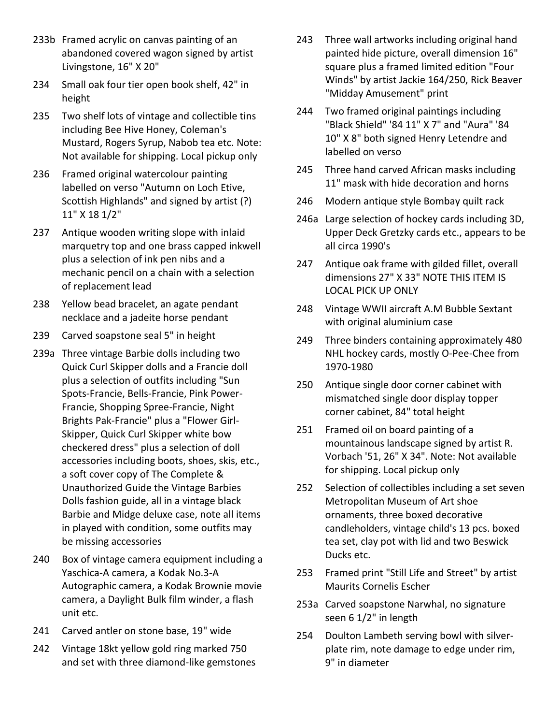- 233b Framed acrylic on canvas painting of an abandoned covered wagon signed by artist Livingstone, 16" X 20"
- 234 Small oak four tier open book shelf, 42" in height
- 235 Two shelf lots of vintage and collectible tins including Bee Hive Honey, Coleman's Mustard, Rogers Syrup, Nabob tea etc. Note: Not available for shipping. Local pickup only
- 236 Framed original watercolour painting labelled on verso "Autumn on Loch Etive, Scottish Highlands" and signed by artist (?) 11" X 18 1/2"
- 237 Antique wooden writing slope with inlaid marquetry top and one brass capped inkwell plus a selection of ink pen nibs and a mechanic pencil on a chain with a selection of replacement lead
- 238 Yellow bead bracelet, an agate pendant necklace and a jadeite horse pendant
- 239 Carved soapstone seal 5" in height
- 239a Three vintage Barbie dolls including two Quick Curl Skipper dolls and a Francie doll plus a selection of outfits including "Sun Spots-Francie, Bells-Francie, Pink Power-Francie, Shopping Spree-Francie, Night Brights Pak-Francie" plus a "Flower Girl-Skipper, Quick Curl Skipper white bow checkered dress" plus a selection of doll accessories including boots, shoes, skis, etc., a soft cover copy of The Complete & Unauthorized Guide the Vintage Barbies Dolls fashion guide, all in a vintage black Barbie and Midge deluxe case, note all items in played with condition, some outfits may be missing accessories
- 240 Box of vintage camera equipment including a Yaschica-A camera, a Kodak No.3-A Autographic camera, a Kodak Brownie movie camera, a Daylight Bulk film winder, a flash unit etc.
- 241 Carved antler on stone base, 19" wide
- 242 Vintage 18kt yellow gold ring marked 750 and set with three diamond-like gemstones
- 243 Three wall artworks including original hand painted hide picture, overall dimension 16" square plus a framed limited edition "Four Winds" by artist Jackie 164/250, Rick Beaver "Midday Amusement" print
- 244 Two framed original paintings including "Black Shield" '84 11" X 7" and "Aura" '84 10" X 8" both signed Henry Letendre and labelled on verso
- 245 Three hand carved African masks including 11" mask with hide decoration and horns
- 246 Modern antique style Bombay quilt rack
- 246a Large selection of hockey cards including 3D, Upper Deck Gretzky cards etc., appears to be all circa 1990's
- 247 Antique oak frame with gilded fillet, overall dimensions 27" X 33" NOTE THIS ITEM IS LOCAL PICK UP ONLY
- 248 Vintage WWII aircraft A.M Bubble Sextant with original aluminium case
- 249 Three binders containing approximately 480 NHL hockey cards, mostly O-Pee-Chee from 1970-1980
- 250 Antique single door corner cabinet with mismatched single door display topper corner cabinet, 84" total height
- 251 Framed oil on board painting of a mountainous landscape signed by artist R. Vorbach '51, 26" X 34". Note: Not available for shipping. Local pickup only
- 252 Selection of collectibles including a set seven Metropolitan Museum of Art shoe ornaments, three boxed decorative candleholders, vintage child's 13 pcs. boxed tea set, clay pot with lid and two Beswick Ducks etc.
- 253 Framed print "Still Life and Street" by artist Maurits Cornelis Escher
- 253a Carved soapstone Narwhal, no signature seen 6 1/2" in length
- 254 Doulton Lambeth serving bowl with silverplate rim, note damage to edge under rim, 9" in diameter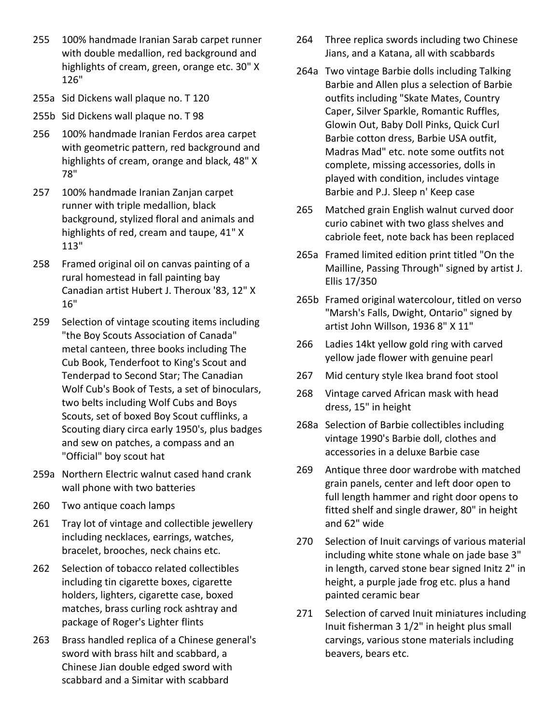- 255 100% handmade Iranian Sarab carpet runner with double medallion, red background and highlights of cream, green, orange etc. 30" X 126"
- 255a Sid Dickens wall plaque no. T 120
- 255b Sid Dickens wall plaque no. T 98
- 256 100% handmade Iranian Ferdos area carpet with geometric pattern, red background and highlights of cream, orange and black, 48" X 78"
- 257 100% handmade Iranian Zanjan carpet runner with triple medallion, black background, stylized floral and animals and highlights of red, cream and taupe, 41" X 113"
- 258 Framed original oil on canvas painting of a rural homestead in fall painting bay Canadian artist Hubert J. Theroux '83, 12" X 16"
- 259 Selection of vintage scouting items including "the Boy Scouts Association of Canada" metal canteen, three books including The Cub Book, Tenderfoot to King's Scout and Tenderpad to Second Star; The Canadian Wolf Cub's Book of Tests, a set of binoculars, two belts including Wolf Cubs and Boys Scouts, set of boxed Boy Scout cufflinks, a Scouting diary circa early 1950's, plus badges and sew on patches, a compass and an "Official" boy scout hat
- 259a Northern Electric walnut cased hand crank wall phone with two batteries
- 260 Two antique coach lamps
- 261 Tray lot of vintage and collectible jewellery including necklaces, earrings, watches, bracelet, brooches, neck chains etc.
- 262 Selection of tobacco related collectibles including tin cigarette boxes, cigarette holders, lighters, cigarette case, boxed matches, brass curling rock ashtray and package of Roger's Lighter flints
- 263 Brass handled replica of a Chinese general's sword with brass hilt and scabbard, a Chinese Jian double edged sword with scabbard and a Simitar with scabbard
- 264 Three replica swords including two Chinese Jians, and a Katana, all with scabbards
- 264a Two vintage Barbie dolls including Talking Barbie and Allen plus a selection of Barbie outfits including "Skate Mates, Country Caper, Silver Sparkle, Romantic Ruffles, Glowin Out, Baby Doll Pinks, Quick Curl Barbie cotton dress, Barbie USA outfit, Madras Mad" etc. note some outfits not complete, missing accessories, dolls in played with condition, includes vintage Barbie and P.J. Sleep n' Keep case
- 265 Matched grain English walnut curved door curio cabinet with two glass shelves and cabriole feet, note back has been replaced
- 265a Framed limited edition print titled "On the Mailline, Passing Through" signed by artist J. Ellis 17/350
- 265b Framed original watercolour, titled on verso "Marsh's Falls, Dwight, Ontario" signed by artist John Willson, 1936 8" X 11"
- 266 Ladies 14kt yellow gold ring with carved yellow jade flower with genuine pearl
- 267 Mid century style Ikea brand foot stool
- 268 Vintage carved African mask with head dress, 15" in height
- 268a Selection of Barbie collectibles including vintage 1990's Barbie doll, clothes and accessories in a deluxe Barbie case
- 269 Antique three door wardrobe with matched grain panels, center and left door open to full length hammer and right door opens to fitted shelf and single drawer, 80" in height and 62" wide
- 270 Selection of Inuit carvings of various material including white stone whale on jade base 3" in length, carved stone bear signed Initz 2" in height, a purple jade frog etc. plus a hand painted ceramic bear
- 271 Selection of carved Inuit miniatures including Inuit fisherman 3 1/2" in height plus small carvings, various stone materials including beavers, bears etc.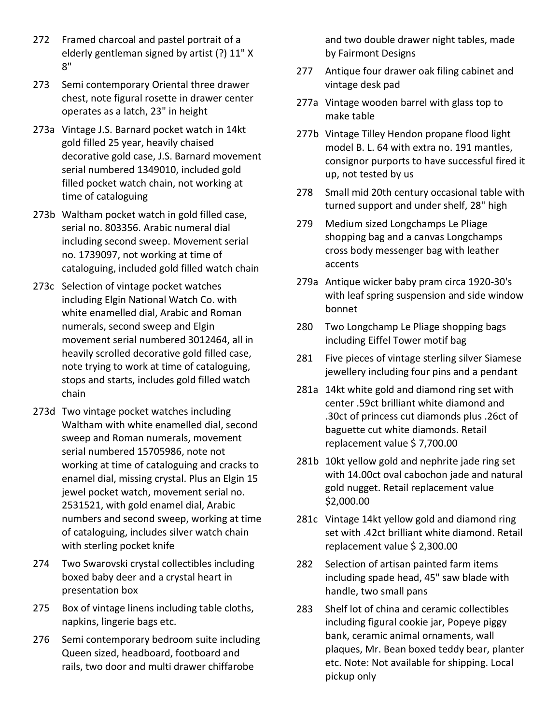- 272 Framed charcoal and pastel portrait of a elderly gentleman signed by artist (?) 11" X 8"
- 273 Semi contemporary Oriental three drawer chest, note figural rosette in drawer center operates as a latch, 23" in height
- 273a Vintage J.S. Barnard pocket watch in 14kt gold filled 25 year, heavily chaised decorative gold case, J.S. Barnard movement serial numbered 1349010, included gold filled pocket watch chain, not working at time of cataloguing
- 273b Waltham pocket watch in gold filled case, serial no. 803356. Arabic numeral dial including second sweep. Movement serial no. 1739097, not working at time of cataloguing, included gold filled watch chain
- 273c Selection of vintage pocket watches including Elgin National Watch Co. with white enamelled dial, Arabic and Roman numerals, second sweep and Elgin movement serial numbered 3012464, all in heavily scrolled decorative gold filled case, note trying to work at time of cataloguing, stops and starts, includes gold filled watch chain
- 273d Two vintage pocket watches including Waltham with white enamelled dial, second sweep and Roman numerals, movement serial numbered 15705986, note not working at time of cataloguing and cracks to enamel dial, missing crystal. Plus an Elgin 15 jewel pocket watch, movement serial no. 2531521, with gold enamel dial, Arabic numbers and second sweep, working at time of cataloguing, includes silver watch chain with sterling pocket knife
- 274 Two Swarovski crystal collectibles including boxed baby deer and a crystal heart in presentation box
- 275 Box of vintage linens including table cloths, napkins, lingerie bags etc.
- 276 Semi contemporary bedroom suite including Queen sized, headboard, footboard and rails, two door and multi drawer chiffarobe

and two double drawer night tables, made by Fairmont Designs

- 277 Antique four drawer oak filing cabinet and vintage desk pad
- 277a Vintage wooden barrel with glass top to make table
- 277b Vintage Tilley Hendon propane flood light model B. L. 64 with extra no. 191 mantles, consignor purports to have successful fired it up, not tested by us
- 278 Small mid 20th century occasional table with turned support and under shelf, 28" high
- 279 Medium sized Longchamps Le Pliage shopping bag and a canvas Longchamps cross body messenger bag with leather accents
- 279a Antique wicker baby pram circa 1920-30's with leaf spring suspension and side window bonnet
- 280 Two Longchamp Le Pliage shopping bags including Eiffel Tower motif bag
- 281 Five pieces of vintage sterling silver Siamese jewellery including four pins and a pendant
- 281a 14kt white gold and diamond ring set with center .59ct brilliant white diamond and .30ct of princess cut diamonds plus .26ct of baguette cut white diamonds. Retail replacement value \$ 7,700.00
- 281b 10kt yellow gold and nephrite jade ring set with 14.00ct oval cabochon jade and natural gold nugget. Retail replacement value \$2,000.00
- 281c Vintage 14kt yellow gold and diamond ring set with .42ct brilliant white diamond. Retail replacement value \$ 2,300.00
- 282 Selection of artisan painted farm items including spade head, 45" saw blade with handle, two small pans
- 283 Shelf lot of china and ceramic collectibles including figural cookie jar, Popeye piggy bank, ceramic animal ornaments, wall plaques, Mr. Bean boxed teddy bear, planter etc. Note: Not available for shipping. Local pickup only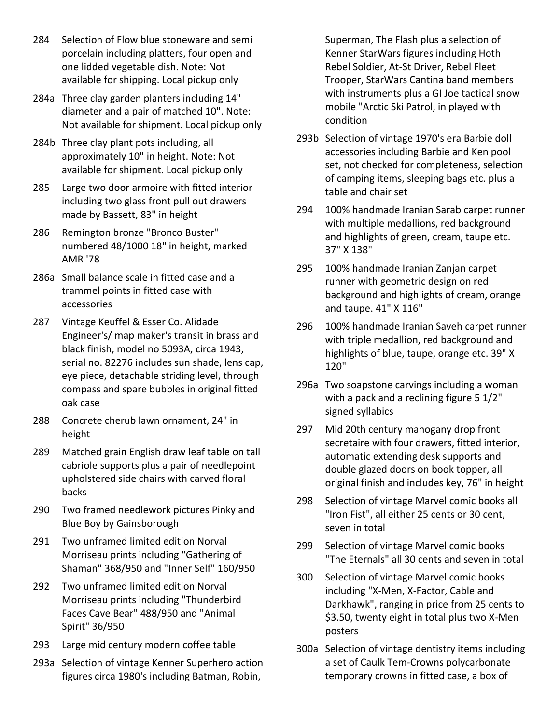- 284 Selection of Flow blue stoneware and semi porcelain including platters, four open and one lidded vegetable dish. Note: Not available for shipping. Local pickup only
- 284a Three clay garden planters including 14" diameter and a pair of matched 10". Note: Not available for shipment. Local pickup only
- 284b Three clay plant pots including, all approximately 10" in height. Note: Not available for shipment. Local pickup only
- 285 Large two door armoire with fitted interior including two glass front pull out drawers made by Bassett, 83" in height
- 286 Remington bronze "Bronco Buster" numbered 48/1000 18" in height, marked AMR '78
- 286a Small balance scale in fitted case and a trammel points in fitted case with accessories
- 287 Vintage Keuffel & Esser Co. Alidade Engineer's/ map maker's transit in brass and black finish, model no 5093A, circa 1943, serial no. 82276 includes sun shade, lens cap, eye piece, detachable striding level, through compass and spare bubbles in original fitted oak case
- 288 Concrete cherub lawn ornament, 24" in height
- 289 Matched grain English draw leaf table on tall cabriole supports plus a pair of needlepoint upholstered side chairs with carved floral backs
- 290 Two framed needlework pictures Pinky and Blue Boy by Gainsborough
- 291 Two unframed limited edition Norval Morriseau prints including "Gathering of Shaman" 368/950 and "Inner Self" 160/950
- 292 Two unframed limited edition Norval Morriseau prints including "Thunderbird Faces Cave Bear" 488/950 and "Animal Spirit" 36/950
- 293 Large mid century modern coffee table
- 293a Selection of vintage Kenner Superhero action figures circa 1980's including Batman, Robin,

Superman, The Flash plus a selection of Kenner StarWars figures including Hoth Rebel Soldier, At-St Driver, Rebel Fleet Trooper, StarWars Cantina band members with instruments plus a GI Joe tactical snow mobile "Arctic Ski Patrol, in played with condition

- 293b Selection of vintage 1970's era Barbie doll accessories including Barbie and Ken pool set, not checked for completeness, selection of camping items, sleeping bags etc. plus a table and chair set
- 294 100% handmade Iranian Sarab carpet runner with multiple medallions, red background and highlights of green, cream, taupe etc. 37" X 138"
- 295 100% handmade Iranian Zanjan carpet runner with geometric design on red background and highlights of cream, orange and taupe. 41" X 116"
- 296 100% handmade Iranian Saveh carpet runner with triple medallion, red background and highlights of blue, taupe, orange etc. 39" X 120"
- 296a Two soapstone carvings including a woman with a pack and a reclining figure 5 1/2" signed syllabics
- 297 Mid 20th century mahogany drop front secretaire with four drawers, fitted interior, automatic extending desk supports and double glazed doors on book topper, all original finish and includes key, 76" in height
- 298 Selection of vintage Marvel comic books all "Iron Fist", all either 25 cents or 30 cent, seven in total
- 299 Selection of vintage Marvel comic books "The Eternals" all 30 cents and seven in total
- 300 Selection of vintage Marvel comic books including "X-Men, X-Factor, Cable and Darkhawk", ranging in price from 25 cents to \$3.50, twenty eight in total plus two X-Men posters
- 300a Selection of vintage dentistry items including a set of Caulk Tem-Crowns polycarbonate temporary crowns in fitted case, a box of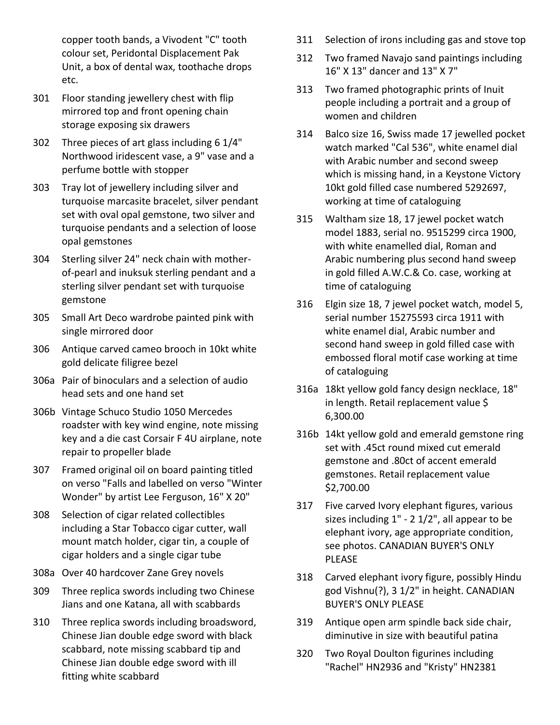copper tooth bands, a Vivodent "C" tooth colour set, Peridontal Displacement Pak Unit, a box of dental wax, toothache drops etc.

- 301 Floor standing jewellery chest with flip mirrored top and front opening chain storage exposing six drawers
- 302 Three pieces of art glass including 6 1/4" Northwood iridescent vase, a 9" vase and a perfume bottle with stopper
- 303 Tray lot of jewellery including silver and turquoise marcasite bracelet, silver pendant set with oval opal gemstone, two silver and turquoise pendants and a selection of loose opal gemstones
- 304 Sterling silver 24" neck chain with motherof-pearl and inuksuk sterling pendant and a sterling silver pendant set with turquoise gemstone
- 305 Small Art Deco wardrobe painted pink with single mirrored door
- 306 Antique carved cameo brooch in 10kt white gold delicate filigree bezel
- 306a Pair of binoculars and a selection of audio head sets and one hand set
- 306b Vintage Schuco Studio 1050 Mercedes roadster with key wind engine, note missing key and a die cast Corsair F 4U airplane, note repair to propeller blade
- 307 Framed original oil on board painting titled on verso "Falls and labelled on verso "Winter Wonder" by artist Lee Ferguson, 16" X 20"
- 308 Selection of cigar related collectibles including a Star Tobacco cigar cutter, wall mount match holder, cigar tin, a couple of cigar holders and a single cigar tube
- 308a Over 40 hardcover Zane Grey novels
- 309 Three replica swords including two Chinese Jians and one Katana, all with scabbards
- 310 Three replica swords including broadsword, Chinese Jian double edge sword with black scabbard, note missing scabbard tip and Chinese Jian double edge sword with ill fitting white scabbard
- 311 Selection of irons including gas and stove top
- 312 Two framed Navajo sand paintings including 16" X 13" dancer and 13" X 7"
- 313 Two framed photographic prints of Inuit people including a portrait and a group of women and children
- 314 Balco size 16, Swiss made 17 jewelled pocket watch marked "Cal 536", white enamel dial with Arabic number and second sweep which is missing hand, in a Keystone Victory 10kt gold filled case numbered 5292697, working at time of cataloguing
- 315 Waltham size 18, 17 jewel pocket watch model 1883, serial no. 9515299 circa 1900, with white enamelled dial, Roman and Arabic numbering plus second hand sweep in gold filled A.W.C.& Co. case, working at time of cataloguing
- 316 Elgin size 18, 7 jewel pocket watch, model 5, serial number 15275593 circa 1911 with white enamel dial, Arabic number and second hand sweep in gold filled case with embossed floral motif case working at time of cataloguing
- 316a 18kt yellow gold fancy design necklace, 18" in length. Retail replacement value \$ 6,300.00
- 316b 14kt yellow gold and emerald gemstone ring set with .45ct round mixed cut emerald gemstone and .80ct of accent emerald gemstones. Retail replacement value \$2,700.00
- 317 Five carved Ivory elephant figures, various sizes including 1" - 2 1/2", all appear to be elephant ivory, age appropriate condition, see photos. CANADIAN BUYER'S ONLY PLEASE
- 318 Carved elephant ivory figure, possibly Hindu god Vishnu(?), 3 1/2" in height. CANADIAN BUYER'S ONLY PLEASE
- 319 Antique open arm spindle back side chair, diminutive in size with beautiful patina
- 320 Two Royal Doulton figurines including "Rachel" HN2936 and "Kristy" HN2381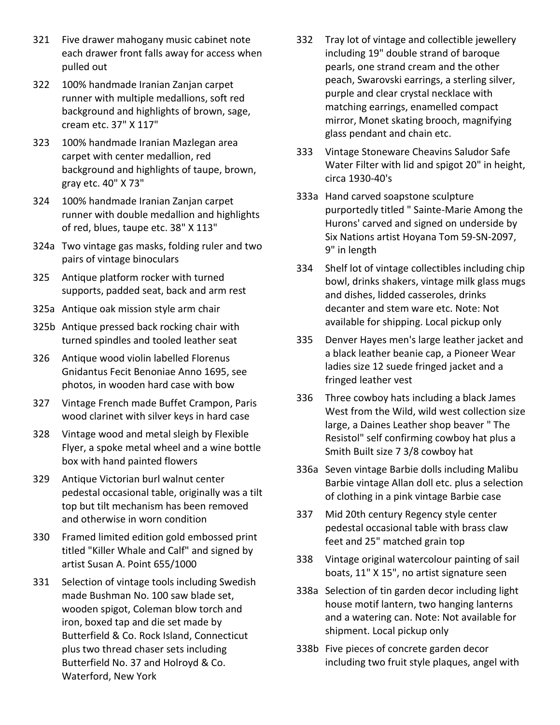- 321 Five drawer mahogany music cabinet note each drawer front falls away for access when pulled out
- 322 100% handmade Iranian Zanjan carpet runner with multiple medallions, soft red background and highlights of brown, sage, cream etc. 37" X 117"
- 323 100% handmade Iranian Mazlegan area carpet with center medallion, red background and highlights of taupe, brown, gray etc. 40" X 73"
- 324 100% handmade Iranian Zanjan carpet runner with double medallion and highlights of red, blues, taupe etc. 38" X 113"
- 324a Two vintage gas masks, folding ruler and two pairs of vintage binoculars
- 325 Antique platform rocker with turned supports, padded seat, back and arm rest
- 325a Antique oak mission style arm chair
- 325b Antique pressed back rocking chair with turned spindles and tooled leather seat
- 326 Antique wood violin labelled Florenus Gnidantus Fecit Benoniae Anno 1695, see photos, in wooden hard case with bow
- 327 Vintage French made Buffet Crampon, Paris wood clarinet with silver keys in hard case
- 328 Vintage wood and metal sleigh by Flexible Flyer, a spoke metal wheel and a wine bottle box with hand painted flowers
- 329 Antique Victorian burl walnut center pedestal occasional table, originally was a tilt top but tilt mechanism has been removed and otherwise in worn condition
- 330 Framed limited edition gold embossed print titled "Killer Whale and Calf" and signed by artist Susan A. Point 655/1000
- 331 Selection of vintage tools including Swedish made Bushman No. 100 saw blade set, wooden spigot, Coleman blow torch and iron, boxed tap and die set made by Butterfield & Co. Rock Island, Connecticut plus two thread chaser sets including Butterfield No. 37 and Holroyd & Co. Waterford, New York
- 332 Tray lot of vintage and collectible jewellery including 19" double strand of baroque pearls, one strand cream and the other peach, Swarovski earrings, a sterling silver, purple and clear crystal necklace with matching earrings, enamelled compact mirror, Monet skating brooch, magnifying glass pendant and chain etc.
- 333 Vintage Stoneware Cheavins Saludor Safe Water Filter with lid and spigot 20" in height, circa 1930-40's
- 333a Hand carved soapstone sculpture purportedly titled " Sainte-Marie Among the Hurons' carved and signed on underside by Six Nations artist Hoyana Tom 59-SN-2097, 9" in length
- 334 Shelf lot of vintage collectibles including chip bowl, drinks shakers, vintage milk glass mugs and dishes, lidded casseroles, drinks decanter and stem ware etc. Note: Not available for shipping. Local pickup only
- 335 Denver Hayes men's large leather jacket and a black leather beanie cap, a Pioneer Wear ladies size 12 suede fringed jacket and a fringed leather vest
- 336 Three cowboy hats including a black James West from the Wild, wild west collection size large, a Daines Leather shop beaver " The Resistol" self confirming cowboy hat plus a Smith Built size 7 3/8 cowboy hat
- 336a Seven vintage Barbie dolls including Malibu Barbie vintage Allan doll etc. plus a selection of clothing in a pink vintage Barbie case
- 337 Mid 20th century Regency style center pedestal occasional table with brass claw feet and 25" matched grain top
- 338 Vintage original watercolour painting of sail boats, 11" X 15", no artist signature seen
- 338a Selection of tin garden decor including light house motif lantern, two hanging lanterns and a watering can. Note: Not available for shipment. Local pickup only
- 338b Five pieces of concrete garden decor including two fruit style plaques, angel with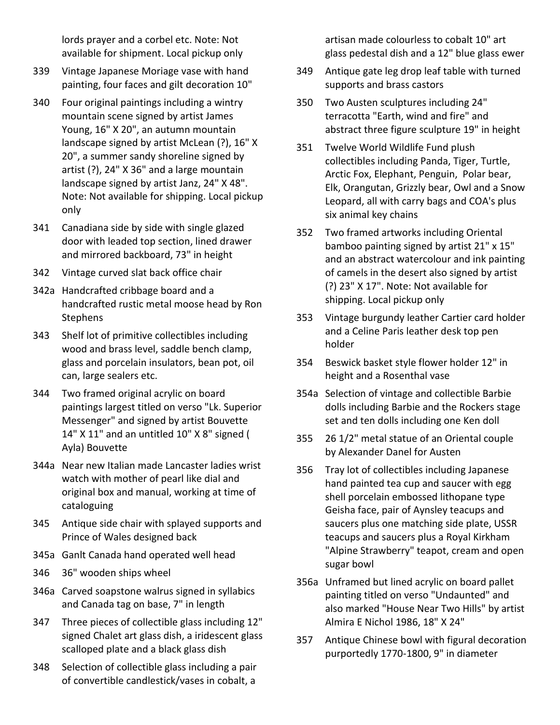lords prayer and a corbel etc. Note: Not available for shipment. Local pickup only

- 339 Vintage Japanese Moriage vase with hand painting, four faces and gilt decoration 10"
- 340 Four original paintings including a wintry mountain scene signed by artist James Young, 16" X 20", an autumn mountain landscape signed by artist McLean (?), 16" X 20", a summer sandy shoreline signed by artist (?), 24" X 36" and a large mountain landscape signed by artist Janz, 24" X 48". Note: Not available for shipping. Local pickup only
- 341 Canadiana side by side with single glazed door with leaded top section, lined drawer and mirrored backboard, 73" in height
- 342 Vintage curved slat back office chair
- 342a Handcrafted cribbage board and a handcrafted rustic metal moose head by Ron **Stephens**
- 343 Shelf lot of primitive collectibles including wood and brass level, saddle bench clamp, glass and porcelain insulators, bean pot, oil can, large sealers etc.
- 344 Two framed original acrylic on board paintings largest titled on verso "Lk. Superior Messenger" and signed by artist Bouvette 14" X 11" and an untitled 10" X 8" signed ( Ayla) Bouvette
- 344a Near new Italian made Lancaster ladies wrist watch with mother of pearl like dial and original box and manual, working at time of cataloguing
- 345 Antique side chair with splayed supports and Prince of Wales designed back
- 345a Ganlt Canada hand operated well head
- 346 36" wooden ships wheel
- 346a Carved soapstone walrus signed in syllabics and Canada tag on base, 7" in length
- 347 Three pieces of collectible glass including 12" signed Chalet art glass dish, a iridescent glass scalloped plate and a black glass dish
- 348 Selection of collectible glass including a pair of convertible candlestick/vases in cobalt, a

artisan made colourless to cobalt 10" art glass pedestal dish and a 12" blue glass ewer

- 349 Antique gate leg drop leaf table with turned supports and brass castors
- 350 Two Austen sculptures including 24" terracotta "Earth, wind and fire" and abstract three figure sculpture 19" in height
- 351 Twelve World Wildlife Fund plush collectibles including Panda, Tiger, Turtle, Arctic Fox, Elephant, Penguin, Polar bear, Elk, Orangutan, Grizzly bear, Owl and a Snow Leopard, all with carry bags and COA's plus six animal key chains
- 352 Two framed artworks including Oriental bamboo painting signed by artist 21" x 15" and an abstract watercolour and ink painting of camels in the desert also signed by artist (?) 23" X 17". Note: Not available for shipping. Local pickup only
- 353 Vintage burgundy leather Cartier card holder and a Celine Paris leather desk top pen holder
- 354 Beswick basket style flower holder 12" in height and a Rosenthal vase
- 354a Selection of vintage and collectible Barbie dolls including Barbie and the Rockers stage set and ten dolls including one Ken doll
- 355 26 1/2" metal statue of an Oriental couple by Alexander Danel for Austen
- 356 Tray lot of collectibles including Japanese hand painted tea cup and saucer with egg shell porcelain embossed lithopane type Geisha face, pair of Aynsley teacups and saucers plus one matching side plate, USSR teacups and saucers plus a Royal Kirkham "Alpine Strawberry" teapot, cream and open sugar bowl
- 356a Unframed but lined acrylic on board pallet painting titled on verso "Undaunted" and also marked "House Near Two Hills" by artist Almira E Nichol 1986, 18" X 24"
- 357 Antique Chinese bowl with figural decoration purportedly 1770-1800, 9" in diameter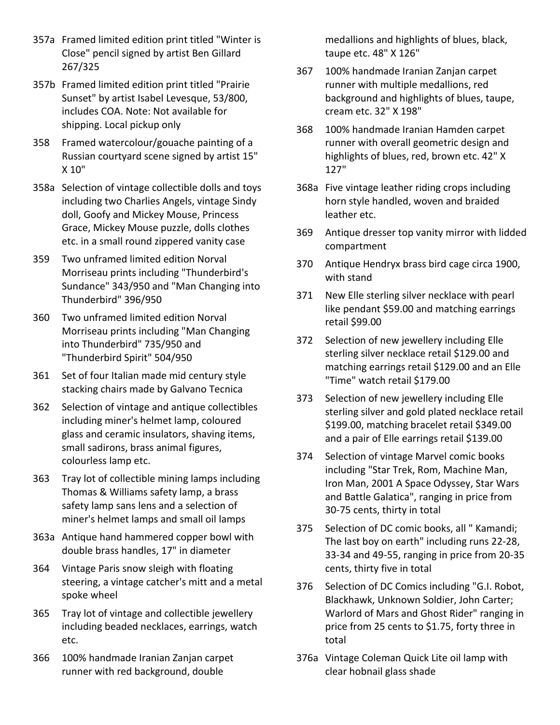- 357a Framed limited edition print titled "Winter is Close" pencil signed by artist Ben Gillard 267/325
- 357b Framed limited edition print titled "Prairie Sunset" by artist Isabel Levesque, 53/800, includes COA. Note: Not available for shipping. Local pickup only
- 358 Framed watercolour/gouache painting of a Russian courtyard scene signed by artist 15" X 10"
- 358a Selection of vintage collectible dolls and toys including two Charlies Angels, vintage Sindy doll, Goofy and Mickey Mouse, Princess Grace, Mickey Mouse puzzle, dolls clothes etc. in a small round zippered vanity case
- 359 Two unframed limited edition Norval Morriseau prints including "Thunderbird's Sundance" 343/950 and "Man Changing into Thunderbird" 396/950
- 360 Two unframed limited edition Norval Morriseau prints including "Man Changing into Thunderbird" 735/950 and "Thunderbird Spirit" 504/950
- 361 Set of four Italian made mid century style stacking chairs made by Galvano Tecnica
- 362 Selection of vintage and antique collectibles including miner's helmet lamp, coloured glass and ceramic insulators, shaving items, small sadirons, brass animal figures, colourless lamp etc.
- 363 Tray lot of collectible mining lamps including Thomas & Williams safety lamp, a brass safety lamp sans lens and a selection of miner's helmet lamps and small oil lamps
- 363a Antique hand hammered copper bowl with double brass handles, 17" in diameter
- 364 Vintage Paris snow sleigh with floating steering, a vintage catcher's mitt and a metal spoke wheel
- 365 Tray lot of vintage and collectible jewellery including beaded necklaces, earrings, watch etc.
- 366 100% handmade Iranian Zanjan carpet runner with red background, double

medallions and highlights of blues, black, taupe etc. 48" X 126"

- 367 100% handmade Iranian Zanjan carpet runner with multiple medallions, red background and highlights of blues, taupe, cream etc. 32" X 198"
- 368 100% handmade Iranian Hamden carpet runner with overall geometric design and highlights of blues, red, brown etc. 42" X 127"
- 368a Five vintage leather riding crops including horn style handled, woven and braided leather etc.
- 369 Antique dresser top vanity mirror with lidded compartment
- 370 Antique Hendryx brass bird cage circa 1900, with stand
- 371 New Elle sterling silver necklace with pearl like pendant \$59.00 and matching earrings retail \$99.00
- 372 Selection of new jewellery including Elle sterling silver necklace retail \$129.00 and matching earrings retail \$129.00 and an Elle "Time" watch retail \$179.00
- 373 Selection of new jewellery including Elle sterling silver and gold plated necklace retail \$199.00, matching bracelet retail \$349.00 and a pair of Elle earrings retail \$139.00
- 374 Selection of vintage Marvel comic books including "Star Trek, Rom, Machine Man, Iron Man, 2001 A Space Odyssey, Star Wars and Battle Galatica", ranging in price from 30-75 cents, thirty in total
- 375 Selection of DC comic books, all " Kamandi; The last boy on earth" including runs 22-28, 33-34 and 49-55, ranging in price from 20-35 cents, thirty five in total
- 376 Selection of DC Comics including "G.I. Robot, Blackhawk, Unknown Soldier, John Carter; Warlord of Mars and Ghost Rider" ranging in price from 25 cents to \$1.75, forty three in total
- 376a Vintage Coleman Quick Lite oil lamp with clear hobnail glass shade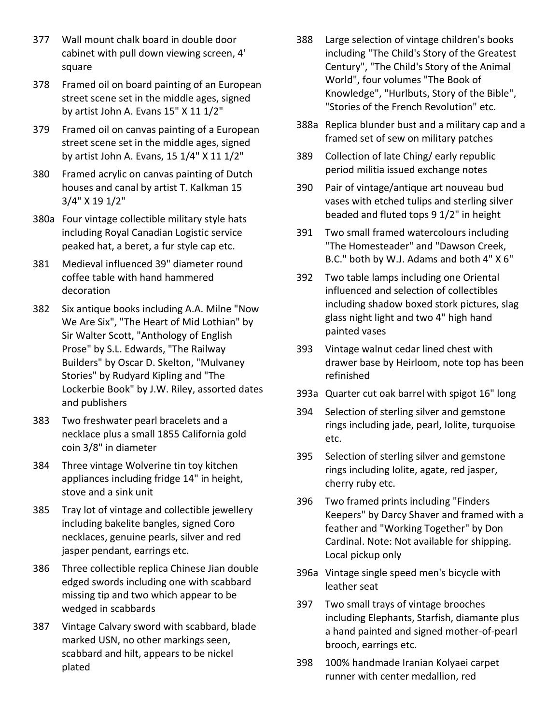- 377 Wall mount chalk board in double door cabinet with pull down viewing screen, 4' square
- 378 Framed oil on board painting of an European street scene set in the middle ages, signed by artist John A. Evans 15" X 11 1/2"
- 379 Framed oil on canvas painting of a European street scene set in the middle ages, signed by artist John A. Evans, 15 1/4" X 11 1/2"
- 380 Framed acrylic on canvas painting of Dutch houses and canal by artist T. Kalkman 15 3/4" X 19 1/2"
- 380a Four vintage collectible military style hats including Royal Canadian Logistic service peaked hat, a beret, a fur style cap etc.
- 381 Medieval influenced 39" diameter round coffee table with hand hammered decoration
- 382 Six antique books including A.A. Milne "Now We Are Six", "The Heart of Mid Lothian" by Sir Walter Scott, "Anthology of English Prose" by S.L. Edwards, "The Railway Builders" by Oscar D. Skelton, "Mulvaney Stories" by Rudyard Kipling and "The Lockerbie Book" by J.W. Riley, assorted dates and publishers
- 383 Two freshwater pearl bracelets and a necklace plus a small 1855 California gold coin 3/8" in diameter
- 384 Three vintage Wolverine tin toy kitchen appliances including fridge 14" in height, stove and a sink unit
- 385 Tray lot of vintage and collectible jewellery including bakelite bangles, signed Coro necklaces, genuine pearls, silver and red jasper pendant, earrings etc.
- 386 Three collectible replica Chinese Jian double edged swords including one with scabbard missing tip and two which appear to be wedged in scabbards
- 387 Vintage Calvary sword with scabbard, blade marked USN, no other markings seen, scabbard and hilt, appears to be nickel plated
- 388 Large selection of vintage children's books including "The Child's Story of the Greatest Century", "The Child's Story of the Animal World", four volumes "The Book of Knowledge", "Hurlbuts, Story of the Bible", "Stories of the French Revolution" etc.
- 388a Replica blunder bust and a military cap and a framed set of sew on military patches
- 389 Collection of late Ching/ early republic period militia issued exchange notes
- 390 Pair of vintage/antique art nouveau bud vases with etched tulips and sterling silver beaded and fluted tops 9 1/2" in height
- 391 Two small framed watercolours including "The Homesteader" and "Dawson Creek, B.C." both by W.J. Adams and both 4" X 6"
- 392 Two table lamps including one Oriental influenced and selection of collectibles including shadow boxed stork pictures, slag glass night light and two 4" high hand painted vases
- 393 Vintage walnut cedar lined chest with drawer base by Heirloom, note top has been refinished
- 393a Quarter cut oak barrel with spigot 16" long
- 394 Selection of sterling silver and gemstone rings including jade, pearl, Iolite, turquoise etc.
- 395 Selection of sterling silver and gemstone rings including Iolite, agate, red jasper, cherry ruby etc.
- 396 Two framed prints including "Finders Keepers" by Darcy Shaver and framed with a feather and "Working Together" by Don Cardinal. Note: Not available for shipping. Local pickup only
- 396a Vintage single speed men's bicycle with leather seat
- 397 Two small trays of vintage brooches including Elephants, Starfish, diamante plus a hand painted and signed mother-of-pearl brooch, earrings etc.
- 398 100% handmade Iranian Kolyaei carpet runner with center medallion, red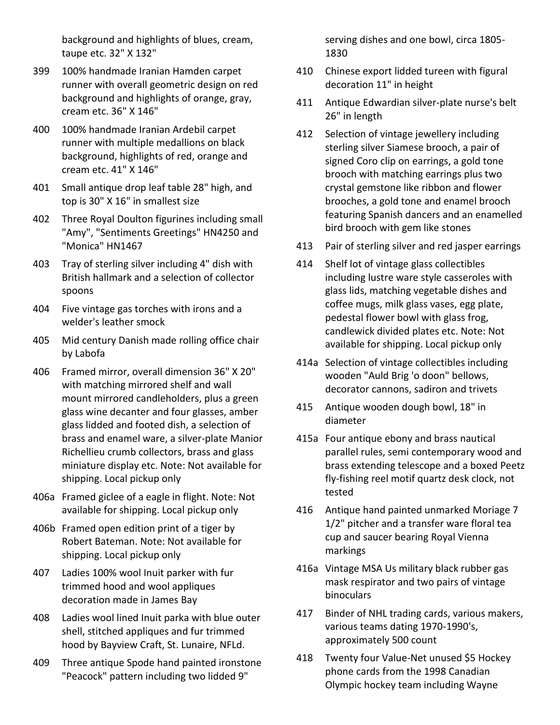background and highlights of blues, cream, taupe etc. 32" X 132"

- 399 100% handmade Iranian Hamden carpet runner with overall geometric design on red background and highlights of orange, gray, cream etc. 36" X 146"
- 400 100% handmade Iranian Ardebil carpet runner with multiple medallions on black background, highlights of red, orange and cream etc. 41" X 146"
- 401 Small antique drop leaf table 28" high, and top is 30" X 16" in smallest size
- 402 Three Royal Doulton figurines including small "Amy", "Sentiments Greetings" HN4250 and "Monica" HN1467
- 403 Tray of sterling silver including 4" dish with British hallmark and a selection of collector spoons
- 404 Five vintage gas torches with irons and a welder's leather smock
- 405 Mid century Danish made rolling office chair by Labofa
- 406 Framed mirror, overall dimension 36" X 20" with matching mirrored shelf and wall mount mirrored candleholders, plus a green glass wine decanter and four glasses, amber glass lidded and footed dish, a selection of brass and enamel ware, a silver-plate Manior Richellieu crumb collectors, brass and glass miniature display etc. Note: Not available for shipping. Local pickup only
- 406a Framed giclee of a eagle in flight. Note: Not available for shipping. Local pickup only
- 406b Framed open edition print of a tiger by Robert Bateman. Note: Not available for shipping. Local pickup only
- 407 Ladies 100% wool Inuit parker with fur trimmed hood and wool appliques decoration made in James Bay
- 408 Ladies wool lined Inuit parka with blue outer shell, stitched appliques and fur trimmed hood by Bayview Craft, St. Lunaire, NFLd.
- 409 Three antique Spode hand painted ironstone "Peacock" pattern including two lidded 9"

serving dishes and one bowl, circa 1805- 1830

- 410 Chinese export lidded tureen with figural decoration 11" in height
- 411 Antique Edwardian silver-plate nurse's belt 26" in length
- 412 Selection of vintage jewellery including sterling silver Siamese brooch, a pair of signed Coro clip on earrings, a gold tone brooch with matching earrings plus two crystal gemstone like ribbon and flower brooches, a gold tone and enamel brooch featuring Spanish dancers and an enamelled bird brooch with gem like stones
- 413 Pair of sterling silver and red jasper earrings
- 414 Shelf lot of vintage glass collectibles including lustre ware style casseroles with glass lids, matching vegetable dishes and coffee mugs, milk glass vases, egg plate, pedestal flower bowl with glass frog, candlewick divided plates etc. Note: Not available for shipping. Local pickup only
- 414a Selection of vintage collectibles including wooden "Auld Brig 'o doon" bellows, decorator cannons, sadiron and trivets
- 415 Antique wooden dough bowl, 18" in diameter
- 415a Four antique ebony and brass nautical parallel rules, semi contemporary wood and brass extending telescope and a boxed Peetz fly-fishing reel motif quartz desk clock, not tested
- 416 Antique hand painted unmarked Moriage 7 1/2" pitcher and a transfer ware floral tea cup and saucer bearing Royal Vienna markings
- 416a Vintage MSA Us military black rubber gas mask respirator and two pairs of vintage binoculars
- 417 Binder of NHL trading cards, various makers, various teams dating 1970-1990's, approximately 500 count
- 418 Twenty four Value-Net unused \$5 Hockey phone cards from the 1998 Canadian Olympic hockey team including Wayne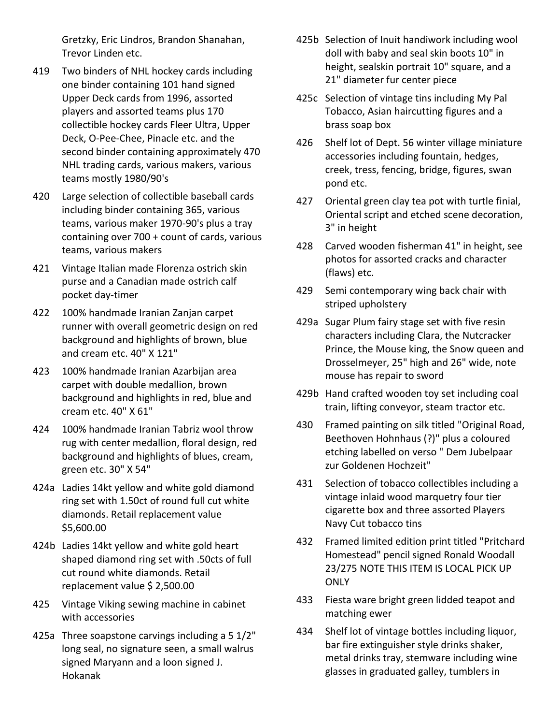Gretzky, Eric Lindros, Brandon Shanahan, Trevor Linden etc.

- 419 Two binders of NHL hockey cards including one binder containing 101 hand signed Upper Deck cards from 1996, assorted players and assorted teams plus 170 collectible hockey cards Fleer Ultra, Upper Deck, O-Pee-Chee, Pinacle etc. and the second binder containing approximately 470 NHL trading cards, various makers, various teams mostly 1980/90's
- 420 Large selection of collectible baseball cards including binder containing 365, various teams, various maker 1970-90's plus a tray containing over 700 + count of cards, various teams, various makers
- 421 Vintage Italian made Florenza ostrich skin purse and a Canadian made ostrich calf pocket day-timer
- 422 100% handmade Iranian Zanjan carpet runner with overall geometric design on red background and highlights of brown, blue and cream etc. 40" X 121"
- 423 100% handmade Iranian Azarbijan area carpet with double medallion, brown background and highlights in red, blue and cream etc. 40" X 61"
- 424 100% handmade Iranian Tabriz wool throw rug with center medallion, floral design, red background and highlights of blues, cream, green etc. 30" X 54"
- 424a Ladies 14kt yellow and white gold diamond ring set with 1.50ct of round full cut white diamonds. Retail replacement value \$5,600.00
- 424b Ladies 14kt yellow and white gold heart shaped diamond ring set with .50cts of full cut round white diamonds. Retail replacement value \$ 2,500.00
- 425 Vintage Viking sewing machine in cabinet with accessories
- 425a Three soapstone carvings including a 5 1/2" long seal, no signature seen, a small walrus signed Maryann and a loon signed J. Hokanak
- 425b Selection of Inuit handiwork including wool doll with baby and seal skin boots 10" in height, sealskin portrait 10" square, and a 21" diameter fur center piece
- 425c Selection of vintage tins including My Pal Tobacco, Asian haircutting figures and a brass soap box
- 426 Shelf lot of Dept. 56 winter village miniature accessories including fountain, hedges, creek, tress, fencing, bridge, figures, swan pond etc.
- 427 Oriental green clay tea pot with turtle finial, Oriental script and etched scene decoration, 3" in height
- 428 Carved wooden fisherman 41" in height, see photos for assorted cracks and character (flaws) etc.
- 429 Semi contemporary wing back chair with striped upholstery
- 429a Sugar Plum fairy stage set with five resin characters including Clara, the Nutcracker Prince, the Mouse king, the Snow queen and Drosselmeyer, 25" high and 26" wide, note mouse has repair to sword
- 429b Hand crafted wooden toy set including coal train, lifting conveyor, steam tractor etc.
- 430 Framed painting on silk titled "Original Road, Beethoven Hohnhaus (?)" plus a coloured etching labelled on verso " Dem Jubelpaar zur Goldenen Hochzeit"
- 431 Selection of tobacco collectibles including a vintage inlaid wood marquetry four tier cigarette box and three assorted Players Navy Cut tobacco tins
- 432 Framed limited edition print titled "Pritchard Homestead" pencil signed Ronald Woodall 23/275 NOTE THIS ITEM IS LOCAL PICK UP **ONLY**
- 433 Fiesta ware bright green lidded teapot and matching ewer
- 434 Shelf lot of vintage bottles including liquor, bar fire extinguisher style drinks shaker, metal drinks tray, stemware including wine glasses in graduated galley, tumblers in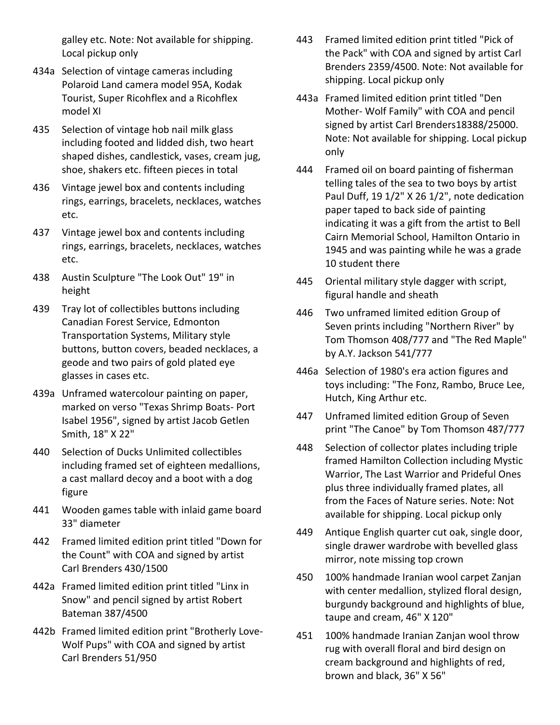galley etc. Note: Not available for shipping. Local pickup only

- 434a Selection of vintage cameras including Polaroid Land camera model 95A, Kodak Tourist, Super Ricohflex and a Ricohflex model XI
- 435 Selection of vintage hob nail milk glass including footed and lidded dish, two heart shaped dishes, candlestick, vases, cream jug, shoe, shakers etc. fifteen pieces in total
- 436 Vintage jewel box and contents including rings, earrings, bracelets, necklaces, watches etc.
- 437 Vintage jewel box and contents including rings, earrings, bracelets, necklaces, watches etc.
- 438 Austin Sculpture "The Look Out" 19" in height
- 439 Tray lot of collectibles buttons including Canadian Forest Service, Edmonton Transportation Systems, Military style buttons, button covers, beaded necklaces, a geode and two pairs of gold plated eye glasses in cases etc.
- 439a Unframed watercolour painting on paper, marked on verso "Texas Shrimp Boats- Port Isabel 1956", signed by artist Jacob Getlen Smith, 18" X 22"
- 440 Selection of Ducks Unlimited collectibles including framed set of eighteen medallions, a cast mallard decoy and a boot with a dog figure
- 441 Wooden games table with inlaid game board 33" diameter
- 442 Framed limited edition print titled "Down for the Count" with COA and signed by artist Carl Brenders 430/1500
- 442a Framed limited edition print titled "Linx in Snow" and pencil signed by artist Robert Bateman 387/4500
- 442b Framed limited edition print "Brotherly Love-Wolf Pups" with COA and signed by artist Carl Brenders 51/950
- 443 Framed limited edition print titled "Pick of the Pack" with COA and signed by artist Carl Brenders 2359/4500. Note: Not available for shipping. Local pickup only
- 443a Framed limited edition print titled "Den Mother- Wolf Family" with COA and pencil signed by artist Carl Brenders18388/25000. Note: Not available for shipping. Local pickup only
- 444 Framed oil on board painting of fisherman telling tales of the sea to two boys by artist Paul Duff, 19 1/2" X 26 1/2", note dedication paper taped to back side of painting indicating it was a gift from the artist to Bell Cairn Memorial School, Hamilton Ontario in 1945 and was painting while he was a grade 10 student there
- 445 Oriental military style dagger with script, figural handle and sheath
- 446 Two unframed limited edition Group of Seven prints including "Northern River" by Tom Thomson 408/777 and "The Red Maple" by A.Y. Jackson 541/777
- 446a Selection of 1980's era action figures and toys including: "The Fonz, Rambo, Bruce Lee, Hutch, King Arthur etc.
- 447 Unframed limited edition Group of Seven print "The Canoe" by Tom Thomson 487/777
- 448 Selection of collector plates including triple framed Hamilton Collection including Mystic Warrior, The Last Warrior and Prideful Ones plus three individually framed plates, all from the Faces of Nature series. Note: Not available for shipping. Local pickup only
- 449 Antique English quarter cut oak, single door, single drawer wardrobe with bevelled glass mirror, note missing top crown
- 450 100% handmade Iranian wool carpet Zanjan with center medallion, stylized floral design, burgundy background and highlights of blue, taupe and cream, 46" X 120"
- 451 100% handmade Iranian Zanjan wool throw rug with overall floral and bird design on cream background and highlights of red, brown and black, 36" X 56"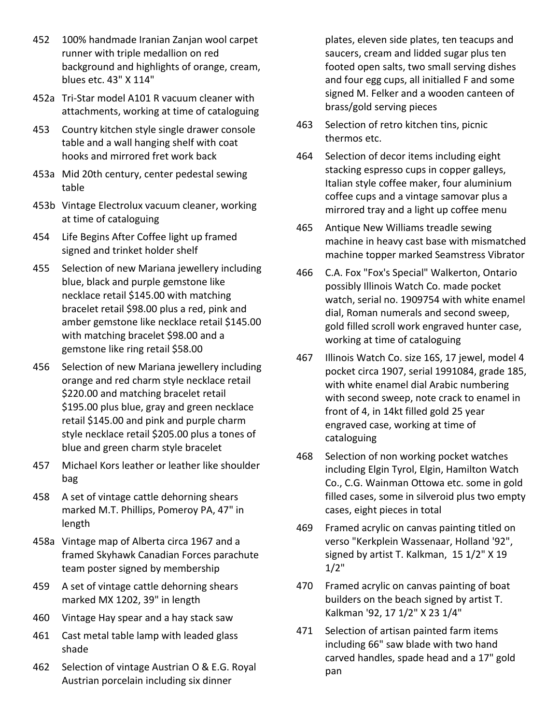- 452 100% handmade Iranian Zanjan wool carpet runner with triple medallion on red background and highlights of orange, cream, blues etc. 43" X 114"
- 452a Tri-Star model A101 R vacuum cleaner with attachments, working at time of cataloguing
- 453 Country kitchen style single drawer console table and a wall hanging shelf with coat hooks and mirrored fret work back
- 453a Mid 20th century, center pedestal sewing table
- 453b Vintage Electrolux vacuum cleaner, working at time of cataloguing
- 454 Life Begins After Coffee light up framed signed and trinket holder shelf
- 455 Selection of new Mariana jewellery including blue, black and purple gemstone like necklace retail \$145.00 with matching bracelet retail \$98.00 plus a red, pink and amber gemstone like necklace retail \$145.00 with matching bracelet \$98.00 and a gemstone like ring retail \$58.00
- 456 Selection of new Mariana jewellery including orange and red charm style necklace retail \$220.00 and matching bracelet retail \$195.00 plus blue, gray and green necklace retail \$145.00 and pink and purple charm style necklace retail \$205.00 plus a tones of blue and green charm style bracelet
- 457 Michael Kors leather or leather like shoulder bag
- 458 A set of vintage cattle dehorning shears marked M.T. Phillips, Pomeroy PA, 47" in length
- 458a Vintage map of Alberta circa 1967 and a framed Skyhawk Canadian Forces parachute team poster signed by membership
- 459 A set of vintage cattle dehorning shears marked MX 1202, 39" in length
- 460 Vintage Hay spear and a hay stack saw
- 461 Cast metal table lamp with leaded glass shade
- 462 Selection of vintage Austrian O & E.G. Royal Austrian porcelain including six dinner

plates, eleven side plates, ten teacups and saucers, cream and lidded sugar plus ten footed open salts, two small serving dishes and four egg cups, all initialled F and some signed M. Felker and a wooden canteen of brass/gold serving pieces

- 463 Selection of retro kitchen tins, picnic thermos etc.
- 464 Selection of decor items including eight stacking espresso cups in copper galleys, Italian style coffee maker, four aluminium coffee cups and a vintage samovar plus a mirrored tray and a light up coffee menu
- 465 Antique New Williams treadle sewing machine in heavy cast base with mismatched machine topper marked Seamstress Vibrator
- 466 C.A. Fox "Fox's Special" Walkerton, Ontario possibly Illinois Watch Co. made pocket watch, serial no. 1909754 with white enamel dial, Roman numerals and second sweep, gold filled scroll work engraved hunter case, working at time of cataloguing
- 467 Illinois Watch Co. size 16S, 17 jewel, model 4 pocket circa 1907, serial 1991084, grade 185, with white enamel dial Arabic numbering with second sweep, note crack to enamel in front of 4, in 14kt filled gold 25 year engraved case, working at time of cataloguing
- 468 Selection of non working pocket watches including Elgin Tyrol, Elgin, Hamilton Watch Co., C.G. Wainman Ottowa etc. some in gold filled cases, some in silveroid plus two empty cases, eight pieces in total
- 469 Framed acrylic on canvas painting titled on verso "Kerkplein Wassenaar, Holland '92", signed by artist T. Kalkman, 15 1/2" X 19  $1/2"$
- 470 Framed acrylic on canvas painting of boat builders on the beach signed by artist T. Kalkman '92, 17 1/2" X 23 1/4"
- 471 Selection of artisan painted farm items including 66" saw blade with two hand carved handles, spade head and a 17" gold pan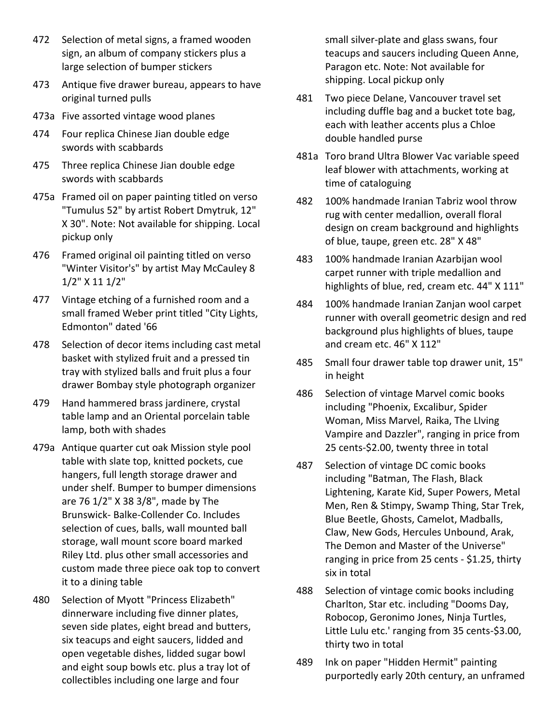- 472 Selection of metal signs, a framed wooden sign, an album of company stickers plus a large selection of bumper stickers
- 473 Antique five drawer bureau, appears to have original turned pulls
- 473a Five assorted vintage wood planes
- 474 Four replica Chinese Jian double edge swords with scabbards
- 475 Three replica Chinese Jian double edge swords with scabbards
- 475a Framed oil on paper painting titled on verso "Tumulus 52" by artist Robert Dmytruk, 12" X 30". Note: Not available for shipping. Local pickup only
- 476 Framed original oil painting titled on verso "Winter Visitor's" by artist May McCauley 8 1/2" X 11 1/2"
- 477 Vintage etching of a furnished room and a small framed Weber print titled "City Lights, Edmonton" dated '66
- 478 Selection of decor items including cast metal basket with stylized fruit and a pressed tin tray with stylized balls and fruit plus a four drawer Bombay style photograph organizer
- 479 Hand hammered brass jardinere, crystal table lamp and an Oriental porcelain table lamp, both with shades
- 479a Antique quarter cut oak Mission style pool table with slate top, knitted pockets, cue hangers, full length storage drawer and under shelf. Bumper to bumper dimensions are 76 1/2" X 38 3/8", made by The Brunswick- Balke-Collender Co. Includes selection of cues, balls, wall mounted ball storage, wall mount score board marked Riley Ltd. plus other small accessories and custom made three piece oak top to convert it to a dining table
- 480 Selection of Myott "Princess Elizabeth" dinnerware including five dinner plates, seven side plates, eight bread and butters, six teacups and eight saucers, lidded and open vegetable dishes, lidded sugar bowl and eight soup bowls etc. plus a tray lot of collectibles including one large and four

small silver-plate and glass swans, four teacups and saucers including Queen Anne, Paragon etc. Note: Not available for shipping. Local pickup only

- 481 Two piece Delane, Vancouver travel set including duffle bag and a bucket tote bag, each with leather accents plus a Chloe double handled purse
- 481a Toro brand Ultra Blower Vac variable speed leaf blower with attachments, working at time of cataloguing
- 482 100% handmade Iranian Tabriz wool throw rug with center medallion, overall floral design on cream background and highlights of blue, taupe, green etc. 28" X 48"
- 483 100% handmade Iranian Azarbijan wool carpet runner with triple medallion and highlights of blue, red, cream etc. 44" X 111"
- 484 100% handmade Iranian Zanjan wool carpet runner with overall geometric design and red background plus highlights of blues, taupe and cream etc. 46" X 112"
- 485 Small four drawer table top drawer unit, 15" in height
- 486 Selection of vintage Marvel comic books including "Phoenix, Excalibur, Spider Woman, Miss Marvel, Raika, The LIving Vampire and Dazzler", ranging in price from 25 cents-\$2.00, twenty three in total
- 487 Selection of vintage DC comic books including "Batman, The Flash, Black Lightening, Karate Kid, Super Powers, Metal Men, Ren & Stimpy, Swamp Thing, Star Trek, Blue Beetle, Ghosts, Camelot, Madballs, Claw, New Gods, Hercules Unbound, Arak, The Demon and Master of the Universe" ranging in price from 25 cents - \$1.25, thirty six in total
- 488 Selection of vintage comic books including Charlton, Star etc. including "Dooms Day, Robocop, Geronimo Jones, Ninja Turtles, Little Lulu etc.' ranging from 35 cents-\$3.00, thirty two in total
- 489 Ink on paper "Hidden Hermit" painting purportedly early 20th century, an unframed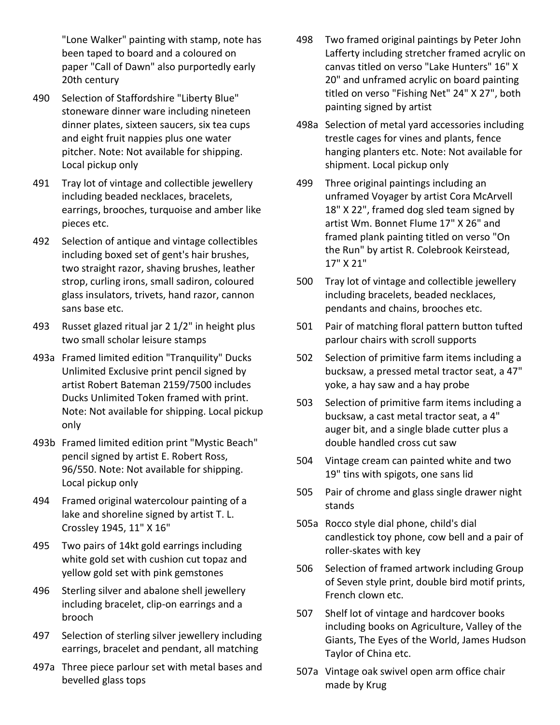"Lone Walker" painting with stamp, note has been taped to board and a coloured on paper "Call of Dawn" also purportedly early 20th century

- 490 Selection of Staffordshire "Liberty Blue" stoneware dinner ware including nineteen dinner plates, sixteen saucers, six tea cups and eight fruit nappies plus one water pitcher. Note: Not available for shipping. Local pickup only
- 491 Tray lot of vintage and collectible jewellery including beaded necklaces, bracelets, earrings, brooches, turquoise and amber like pieces etc.
- 492 Selection of antique and vintage collectibles including boxed set of gent's hair brushes, two straight razor, shaving brushes, leather strop, curling irons, small sadiron, coloured glass insulators, trivets, hand razor, cannon sans base etc.
- 493 Russet glazed ritual jar 2 1/2" in height plus two small scholar leisure stamps
- 493a Framed limited edition "Tranquility" Ducks Unlimited Exclusive print pencil signed by artist Robert Bateman 2159/7500 includes Ducks Unlimited Token framed with print. Note: Not available for shipping. Local pickup only
- 493b Framed limited edition print "Mystic Beach" pencil signed by artist E. Robert Ross, 96/550. Note: Not available for shipping. Local pickup only
- 494 Framed original watercolour painting of a lake and shoreline signed by artist T. L. Crossley 1945, 11" X 16"
- 495 Two pairs of 14kt gold earrings including white gold set with cushion cut topaz and yellow gold set with pink gemstones
- 496 Sterling silver and abalone shell jewellery including bracelet, clip-on earrings and a brooch
- 497 Selection of sterling silver jewellery including earrings, bracelet and pendant, all matching
- 497a Three piece parlour set with metal bases and bevelled glass tops
- 498 Two framed original paintings by Peter John Lafferty including stretcher framed acrylic on canvas titled on verso "Lake Hunters" 16" X 20" and unframed acrylic on board painting titled on verso "Fishing Net" 24" X 27", both painting signed by artist
- 498a Selection of metal yard accessories including trestle cages for vines and plants, fence hanging planters etc. Note: Not available for shipment. Local pickup only
- 499 Three original paintings including an unframed Voyager by artist Cora McArvell 18" X 22", framed dog sled team signed by artist Wm. Bonnet Flume 17" X 26" and framed plank painting titled on verso "On the Run" by artist R. Colebrook Keirstead, 17" X 21"
- 500 Tray lot of vintage and collectible jewellery including bracelets, beaded necklaces, pendants and chains, brooches etc.
- 501 Pair of matching floral pattern button tufted parlour chairs with scroll supports
- 502 Selection of primitive farm items including a bucksaw, a pressed metal tractor seat, a 47" yoke, a hay saw and a hay probe
- 503 Selection of primitive farm items including a bucksaw, a cast metal tractor seat, a 4" auger bit, and a single blade cutter plus a double handled cross cut saw
- 504 Vintage cream can painted white and two 19" tins with spigots, one sans lid
- 505 Pair of chrome and glass single drawer night stands
- 505a Rocco style dial phone, child's dial candlestick toy phone, cow bell and a pair of roller-skates with key
- 506 Selection of framed artwork including Group of Seven style print, double bird motif prints, French clown etc.
- 507 Shelf lot of vintage and hardcover books including books on Agriculture, Valley of the Giants, The Eyes of the World, James Hudson Taylor of China etc.
- 507a Vintage oak swivel open arm office chair made by Krug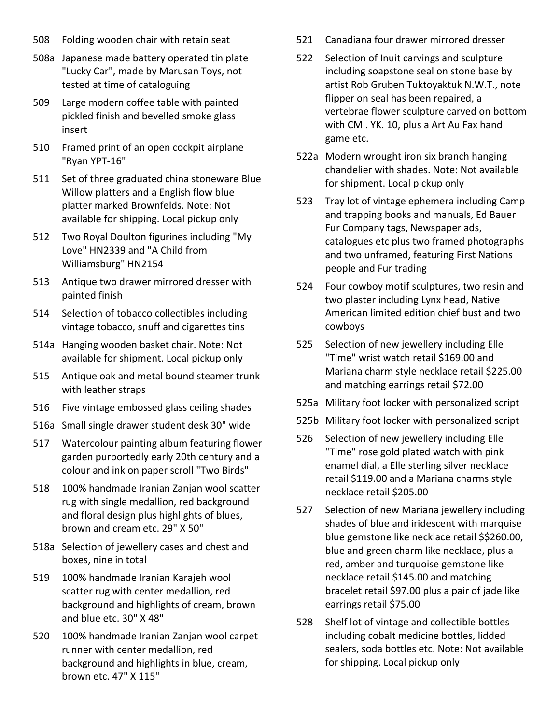- 508 Folding wooden chair with retain seat
- 508a Japanese made battery operated tin plate "Lucky Car", made by Marusan Toys, not tested at time of cataloguing
- 509 Large modern coffee table with painted pickled finish and bevelled smoke glass insert
- 510 Framed print of an open cockpit airplane "Ryan YPT-16"
- 511 Set of three graduated china stoneware Blue Willow platters and a English flow blue platter marked Brownfelds. Note: Not available for shipping. Local pickup only
- 512 Two Royal Doulton figurines including "My Love" HN2339 and "A Child from Williamsburg" HN2154
- 513 Antique two drawer mirrored dresser with painted finish
- 514 Selection of tobacco collectibles including vintage tobacco, snuff and cigarettes tins
- 514a Hanging wooden basket chair. Note: Not available for shipment. Local pickup only
- 515 Antique oak and metal bound steamer trunk with leather straps
- 516 Five vintage embossed glass ceiling shades
- 516a Small single drawer student desk 30" wide
- 517 Watercolour painting album featuring flower garden purportedly early 20th century and a colour and ink on paper scroll "Two Birds"
- 518 100% handmade Iranian Zanjan wool scatter rug with single medallion, red background and floral design plus highlights of blues, brown and cream etc. 29" X 50"
- 518a Selection of jewellery cases and chest and boxes, nine in total
- 519 100% handmade Iranian Karajeh wool scatter rug with center medallion, red background and highlights of cream, brown and blue etc. 30" X 48"
- 520 100% handmade Iranian Zanjan wool carpet runner with center medallion, red background and highlights in blue, cream, brown etc. 47" X 115"
- 521 Canadiana four drawer mirrored dresser
- 522 Selection of Inuit carvings and sculpture including soapstone seal on stone base by artist Rob Gruben Tuktoyaktuk N.W.T., note flipper on seal has been repaired, a vertebrae flower sculpture carved on bottom with CM . YK. 10, plus a Art Au Fax hand game etc.
- 522a Modern wrought iron six branch hanging chandelier with shades. Note: Not available for shipment. Local pickup only
- 523 Tray lot of vintage ephemera including Camp and trapping books and manuals, Ed Bauer Fur Company tags, Newspaper ads, catalogues etc plus two framed photographs and two unframed, featuring First Nations people and Fur trading
- 524 Four cowboy motif sculptures, two resin and two plaster including Lynx head, Native American limited edition chief bust and two cowboys
- 525 Selection of new jewellery including Elle "Time" wrist watch retail \$169.00 and Mariana charm style necklace retail \$225.00 and matching earrings retail \$72.00
- 525a Military foot locker with personalized script
- 525b Military foot locker with personalized script
- 526 Selection of new jewellery including Elle "Time" rose gold plated watch with pink enamel dial, a Elle sterling silver necklace retail \$119.00 and a Mariana charms style necklace retail \$205.00
- 527 Selection of new Mariana jewellery including shades of blue and iridescent with marquise blue gemstone like necklace retail \$\$260.00, blue and green charm like necklace, plus a red, amber and turquoise gemstone like necklace retail \$145.00 and matching bracelet retail \$97.00 plus a pair of jade like earrings retail \$75.00
- 528 Shelf lot of vintage and collectible bottles including cobalt medicine bottles, lidded sealers, soda bottles etc. Note: Not available for shipping. Local pickup only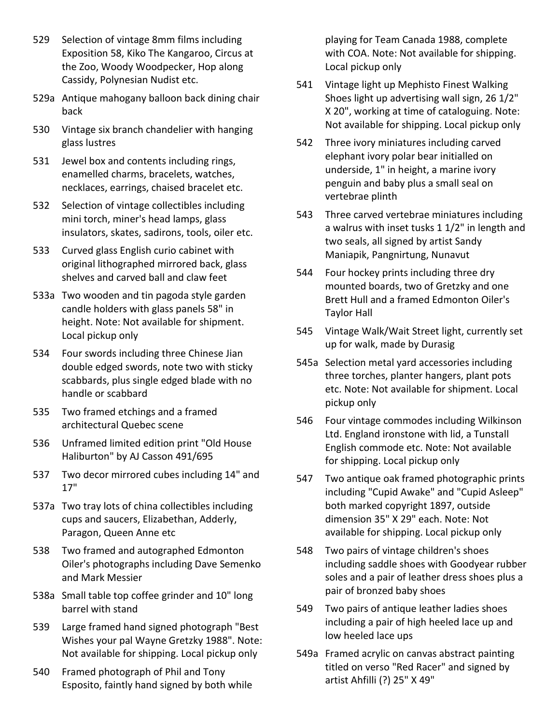- 529 Selection of vintage 8mm films including Exposition 58, Kiko The Kangaroo, Circus at the Zoo, Woody Woodpecker, Hop along Cassidy, Polynesian Nudist etc.
- 529a Antique mahogany balloon back dining chair back
- 530 Vintage six branch chandelier with hanging glass lustres
- 531 Jewel box and contents including rings, enamelled charms, bracelets, watches, necklaces, earrings, chaised bracelet etc.
- 532 Selection of vintage collectibles including mini torch, miner's head lamps, glass insulators, skates, sadirons, tools, oiler etc.
- 533 Curved glass English curio cabinet with original lithographed mirrored back, glass shelves and carved ball and claw feet
- 533a Two wooden and tin pagoda style garden candle holders with glass panels 58" in height. Note: Not available for shipment. Local pickup only
- 534 Four swords including three Chinese Jian double edged swords, note two with sticky scabbards, plus single edged blade with no handle or scabbard
- 535 Two framed etchings and a framed architectural Quebec scene
- 536 Unframed limited edition print "Old House Haliburton" by AJ Casson 491/695
- 537 Two decor mirrored cubes including 14" and 17"
- 537a Two tray lots of china collectibles including cups and saucers, Elizabethan, Adderly, Paragon, Queen Anne etc
- 538 Two framed and autographed Edmonton Oiler's photographs including Dave Semenko and Mark Messier
- 538a Small table top coffee grinder and 10" long barrel with stand
- 539 Large framed hand signed photograph "Best Wishes your pal Wayne Gretzky 1988". Note: Not available for shipping. Local pickup only
- 540 Framed photograph of Phil and Tony Esposito, faintly hand signed by both while

playing for Team Canada 1988, complete with COA. Note: Not available for shipping. Local pickup only

- 541 Vintage light up Mephisto Finest Walking Shoes light up advertising wall sign, 26 1/2" X 20", working at time of cataloguing. Note: Not available for shipping. Local pickup only
- 542 Three ivory miniatures including carved elephant ivory polar bear initialled on underside, 1" in height, a marine ivory penguin and baby plus a small seal on vertebrae plinth
- 543 Three carved vertebrae miniatures including a walrus with inset tusks 1 1/2" in length and two seals, all signed by artist Sandy Maniapik, Pangnirtung, Nunavut
- 544 Four hockey prints including three dry mounted boards, two of Gretzky and one Brett Hull and a framed Edmonton Oiler's Taylor Hall
- 545 Vintage Walk/Wait Street light, currently set up for walk, made by Durasig
- 545a Selection metal yard accessories including three torches, planter hangers, plant pots etc. Note: Not available for shipment. Local pickup only
- 546 Four vintage commodes including Wilkinson Ltd. England ironstone with lid, a Tunstall English commode etc. Note: Not available for shipping. Local pickup only
- 547 Two antique oak framed photographic prints including "Cupid Awake" and "Cupid Asleep" both marked copyright 1897, outside dimension 35" X 29" each. Note: Not available for shipping. Local pickup only
- 548 Two pairs of vintage children's shoes including saddle shoes with Goodyear rubber soles and a pair of leather dress shoes plus a pair of bronzed baby shoes
- 549 Two pairs of antique leather ladies shoes including a pair of high heeled lace up and low heeled lace ups
- 549a Framed acrylic on canvas abstract painting titled on verso "Red Racer" and signed by artist Ahfilli (?) 25" X 49"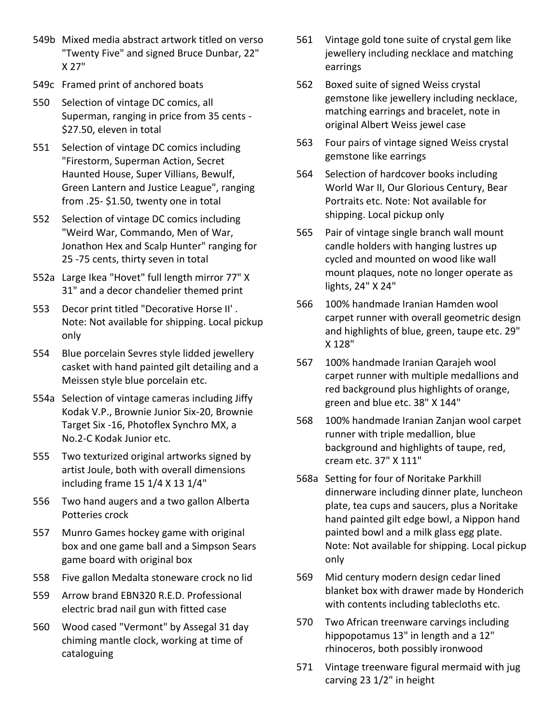- 549b Mixed media abstract artwork titled on verso "Twenty Five" and signed Bruce Dunbar, 22" X 27"
- 549c Framed print of anchored boats
- 550 Selection of vintage DC comics, all Superman, ranging in price from 35 cents - \$27.50, eleven in total
- 551 Selection of vintage DC comics including "Firestorm, Superman Action, Secret Haunted House, Super Villians, Bewulf, Green Lantern and Justice League", ranging from .25- \$1.50, twenty one in total
- 552 Selection of vintage DC comics including "Weird War, Commando, Men of War, Jonathon Hex and Scalp Hunter" ranging for 25 -75 cents, thirty seven in total
- 552a Large Ikea "Hovet" full length mirror 77" X 31" and a decor chandelier themed print
- 553 Decor print titled "Decorative Horse II' . Note: Not available for shipping. Local pickup only
- 554 Blue porcelain Sevres style lidded jewellery casket with hand painted gilt detailing and a Meissen style blue porcelain etc.
- 554a Selection of vintage cameras including Jiffy Kodak V.P., Brownie Junior Six-20, Brownie Target Six -16, Photoflex Synchro MX, a No.2-C Kodak Junior etc.
- 555 Two texturized original artworks signed by artist Joule, both with overall dimensions including frame 15 1/4 X 13 1/4"
- 556 Two hand augers and a two gallon Alberta Potteries crock
- 557 Munro Games hockey game with original box and one game ball and a Simpson Sears game board with original box
- 558 Five gallon Medalta stoneware crock no lid
- 559 Arrow brand EBN320 R.E.D. Professional electric brad nail gun with fitted case
- 560 Wood cased "Vermont" by Assegal 31 day chiming mantle clock, working at time of cataloguing
- 561 Vintage gold tone suite of crystal gem like jewellery including necklace and matching earrings
- 562 Boxed suite of signed Weiss crystal gemstone like jewellery including necklace, matching earrings and bracelet, note in original Albert Weiss jewel case
- 563 Four pairs of vintage signed Weiss crystal gemstone like earrings
- 564 Selection of hardcover books including World War II, Our Glorious Century, Bear Portraits etc. Note: Not available for shipping. Local pickup only
- 565 Pair of vintage single branch wall mount candle holders with hanging lustres up cycled and mounted on wood like wall mount plaques, note no longer operate as lights, 24" X 24"
- 566 100% handmade Iranian Hamden wool carpet runner with overall geometric design and highlights of blue, green, taupe etc. 29" X 128"
- 567 100% handmade Iranian Qarajeh wool carpet runner with multiple medallions and red background plus highlights of orange, green and blue etc. 38" X 144"
- 568 100% handmade Iranian Zanjan wool carpet runner with triple medallion, blue background and highlights of taupe, red, cream etc. 37" X 111"
- 568a Setting for four of Noritake Parkhill dinnerware including dinner plate, luncheon plate, tea cups and saucers, plus a Noritake hand painted gilt edge bowl, a Nippon hand painted bowl and a milk glass egg plate. Note: Not available for shipping. Local pickup only
- 569 Mid century modern design cedar lined blanket box with drawer made by Honderich with contents including tablecloths etc.
- 570 Two African treenware carvings including hippopotamus 13" in length and a 12" rhinoceros, both possibly ironwood
- 571 Vintage treenware figural mermaid with jug carving 23 1/2" in height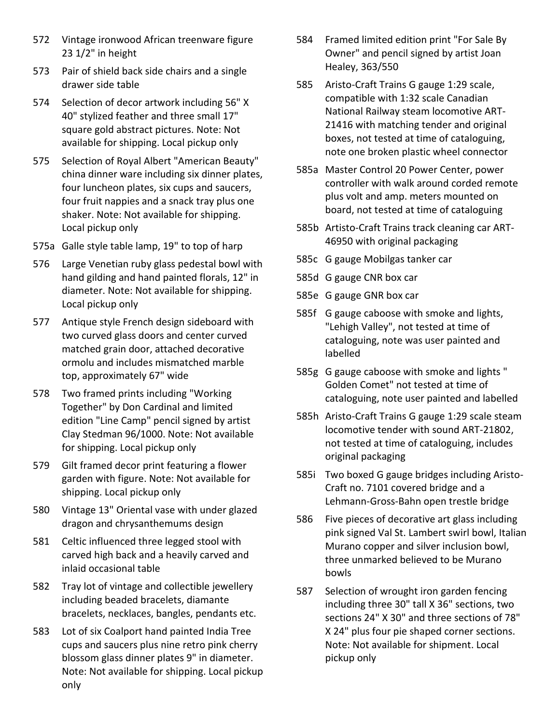- 572 Vintage ironwood African treenware figure 23 1/2" in height
- 573 Pair of shield back side chairs and a single drawer side table
- 574 Selection of decor artwork including 56" X 40" stylized feather and three small 17" square gold abstract pictures. Note: Not available for shipping. Local pickup only
- 575 Selection of Royal Albert "American Beauty" china dinner ware including six dinner plates, four luncheon plates, six cups and saucers, four fruit nappies and a snack tray plus one shaker. Note: Not available for shipping. Local pickup only
- 575a Galle style table lamp, 19" to top of harp
- 576 Large Venetian ruby glass pedestal bowl with hand gilding and hand painted florals, 12" in diameter. Note: Not available for shipping. Local pickup only
- 577 Antique style French design sideboard with two curved glass doors and center curved matched grain door, attached decorative ormolu and includes mismatched marble top, approximately 67" wide
- 578 Two framed prints including "Working Together" by Don Cardinal and limited edition "Line Camp" pencil signed by artist Clay Stedman 96/1000. Note: Not available for shipping. Local pickup only
- 579 Gilt framed decor print featuring a flower garden with figure. Note: Not available for shipping. Local pickup only
- 580 Vintage 13" Oriental vase with under glazed dragon and chrysanthemums design
- 581 Celtic influenced three legged stool with carved high back and a heavily carved and inlaid occasional table
- 582 Tray lot of vintage and collectible jewellery including beaded bracelets, diamante bracelets, necklaces, bangles, pendants etc.
- 583 Lot of six Coalport hand painted India Tree cups and saucers plus nine retro pink cherry blossom glass dinner plates 9" in diameter. Note: Not available for shipping. Local pickup only
- 584 Framed limited edition print "For Sale By Owner" and pencil signed by artist Joan Healey, 363/550
- 585 Aristo-Craft Trains G gauge 1:29 scale, compatible with 1:32 scale Canadian National Railway steam locomotive ART-21416 with matching tender and original boxes, not tested at time of cataloguing, note one broken plastic wheel connector
- 585a Master Control 20 Power Center, power controller with walk around corded remote plus volt and amp. meters mounted on board, not tested at time of cataloguing
- 585b Artisto-Craft Trains track cleaning car ART-46950 with original packaging
- 585c G gauge Mobilgas tanker car
- 585d G gauge CNR box car
- 585e G gauge GNR box car
- 585f G gauge caboose with smoke and lights, "Lehigh Valley", not tested at time of cataloguing, note was user painted and labelled
- 585g G gauge caboose with smoke and lights " Golden Comet" not tested at time of cataloguing, note user painted and labelled
- 585h Aristo-Craft Trains G gauge 1:29 scale steam locomotive tender with sound ART-21802, not tested at time of cataloguing, includes original packaging
- 585i Two boxed G gauge bridges including Aristo-Craft no. 7101 covered bridge and a Lehmann-Gross-Bahn open trestle bridge
- 586 Five pieces of decorative art glass including pink signed Val St. Lambert swirl bowl, Italian Murano copper and silver inclusion bowl, three unmarked believed to be Murano bowls
- 587 Selection of wrought iron garden fencing including three 30" tall X 36" sections, two sections 24" X 30" and three sections of 78" X 24" plus four pie shaped corner sections. Note: Not available for shipment. Local pickup only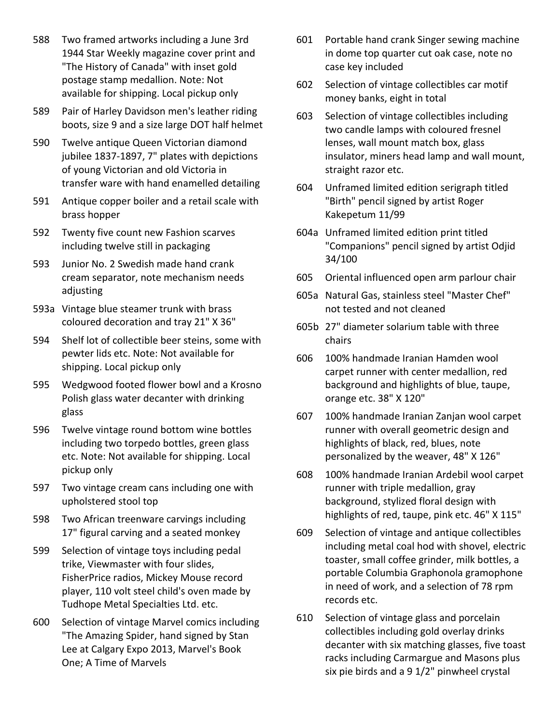- 588 Two framed artworks including a June 3rd 1944 Star Weekly magazine cover print and "The History of Canada" with inset gold postage stamp medallion. Note: Not available for shipping. Local pickup only
- 589 Pair of Harley Davidson men's leather riding boots, size 9 and a size large DOT half helmet
- 590 Twelve antique Queen Victorian diamond jubilee 1837-1897, 7" plates with depictions of young Victorian and old Victoria in transfer ware with hand enamelled detailing
- 591 Antique copper boiler and a retail scale with brass hopper
- 592 Twenty five count new Fashion scarves including twelve still in packaging
- 593 Junior No. 2 Swedish made hand crank cream separator, note mechanism needs adjusting
- 593a Vintage blue steamer trunk with brass coloured decoration and tray 21" X 36"
- 594 Shelf lot of collectible beer steins, some with pewter lids etc. Note: Not available for shipping. Local pickup only
- 595 Wedgwood footed flower bowl and a Krosno Polish glass water decanter with drinking glass
- 596 Twelve vintage round bottom wine bottles including two torpedo bottles, green glass etc. Note: Not available for shipping. Local pickup only
- 597 Two vintage cream cans including one with upholstered stool top
- 598 Two African treenware carvings including 17" figural carving and a seated monkey
- 599 Selection of vintage toys including pedal trike, Viewmaster with four slides, FisherPrice radios, Mickey Mouse record player, 110 volt steel child's oven made by Tudhope Metal Specialties Ltd. etc.
- 600 Selection of vintage Marvel comics including "The Amazing Spider, hand signed by Stan Lee at Calgary Expo 2013, Marvel's Book One; A Time of Marvels
- 601 Portable hand crank Singer sewing machine in dome top quarter cut oak case, note no case key included
- 602 Selection of vintage collectibles car motif money banks, eight in total
- 603 Selection of vintage collectibles including two candle lamps with coloured fresnel lenses, wall mount match box, glass insulator, miners head lamp and wall mount, straight razor etc.
- 604 Unframed limited edition serigraph titled "Birth" pencil signed by artist Roger Kakepetum 11/99
- 604a Unframed limited edition print titled "Companions" pencil signed by artist Odjid 34/100
- 605 Oriental influenced open arm parlour chair
- 605a Natural Gas, stainless steel "Master Chef" not tested and not cleaned
- 605b 27" diameter solarium table with three chairs
- 606 100% handmade Iranian Hamden wool carpet runner with center medallion, red background and highlights of blue, taupe, orange etc. 38" X 120"
- 607 100% handmade Iranian Zanjan wool carpet runner with overall geometric design and highlights of black, red, blues, note personalized by the weaver, 48" X 126"
- 608 100% handmade Iranian Ardebil wool carpet runner with triple medallion, gray background, stylized floral design with highlights of red, taupe, pink etc. 46" X 115"
- 609 Selection of vintage and antique collectibles including metal coal hod with shovel, electric toaster, small coffee grinder, milk bottles, a portable Columbia Graphonola gramophone in need of work, and a selection of 78 rpm records etc.
- 610 Selection of vintage glass and porcelain collectibles including gold overlay drinks decanter with six matching glasses, five toast racks including Carmargue and Masons plus six pie birds and a 9 1/2" pinwheel crystal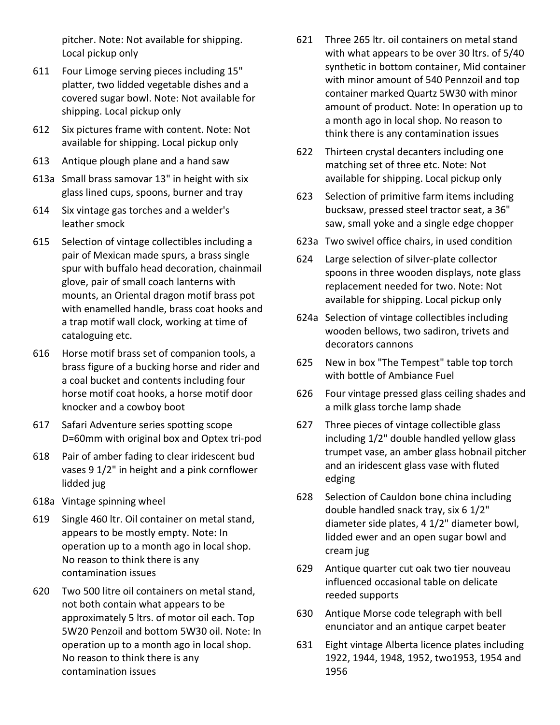pitcher. Note: Not available for shipping. Local pickup only

- 611 Four Limoge serving pieces including 15" platter, two lidded vegetable dishes and a covered sugar bowl. Note: Not available for shipping. Local pickup only
- 612 Six pictures frame with content. Note: Not available for shipping. Local pickup only
- 613 Antique plough plane and a hand saw
- 613a Small brass samovar 13" in height with six glass lined cups, spoons, burner and tray
- 614 Six vintage gas torches and a welder's leather smock
- 615 Selection of vintage collectibles including a pair of Mexican made spurs, a brass single spur with buffalo head decoration, chainmail glove, pair of small coach lanterns with mounts, an Oriental dragon motif brass pot with enamelled handle, brass coat hooks and a trap motif wall clock, working at time of cataloguing etc.
- 616 Horse motif brass set of companion tools, a brass figure of a bucking horse and rider and a coal bucket and contents including four horse motif coat hooks, a horse motif door knocker and a cowboy boot
- 617 Safari Adventure series spotting scope D=60mm with original box and Optex tri-pod
- 618 Pair of amber fading to clear iridescent bud vases 9 1/2" in height and a pink cornflower lidded jug
- 618a Vintage spinning wheel
- 619 Single 460 ltr. Oil container on metal stand, appears to be mostly empty. Note: In operation up to a month ago in local shop. No reason to think there is any contamination issues
- 620 Two 500 litre oil containers on metal stand, not both contain what appears to be approximately 5 ltrs. of motor oil each. Top 5W20 Penzoil and bottom 5W30 oil. Note: In operation up to a month ago in local shop. No reason to think there is any contamination issues
- 621 Three 265 ltr. oil containers on metal stand with what appears to be over 30 ltrs. of 5/40 synthetic in bottom container, Mid container with minor amount of 540 Pennzoil and top container marked Quartz 5W30 with minor amount of product. Note: In operation up to a month ago in local shop. No reason to think there is any contamination issues
- 622 Thirteen crystal decanters including one matching set of three etc. Note: Not available for shipping. Local pickup only
- 623 Selection of primitive farm items including bucksaw, pressed steel tractor seat, a 36" saw, small yoke and a single edge chopper
- 623a Two swivel office chairs, in used condition
- 624 Large selection of silver-plate collector spoons in three wooden displays, note glass replacement needed for two. Note: Not available for shipping. Local pickup only
- 624a Selection of vintage collectibles including wooden bellows, two sadiron, trivets and decorators cannons
- 625 New in box "The Tempest" table top torch with bottle of Ambiance Fuel
- 626 Four vintage pressed glass ceiling shades and a milk glass torche lamp shade
- 627 Three pieces of vintage collectible glass including 1/2" double handled yellow glass trumpet vase, an amber glass hobnail pitcher and an iridescent glass vase with fluted edging
- 628 Selection of Cauldon bone china including double handled snack tray, six 6 1/2" diameter side plates, 4 1/2" diameter bowl, lidded ewer and an open sugar bowl and cream jug
- 629 Antique quarter cut oak two tier nouveau influenced occasional table on delicate reeded supports
- 630 Antique Morse code telegraph with bell enunciator and an antique carpet beater
- 631 Eight vintage Alberta licence plates including 1922, 1944, 1948, 1952, two1953, 1954 and 1956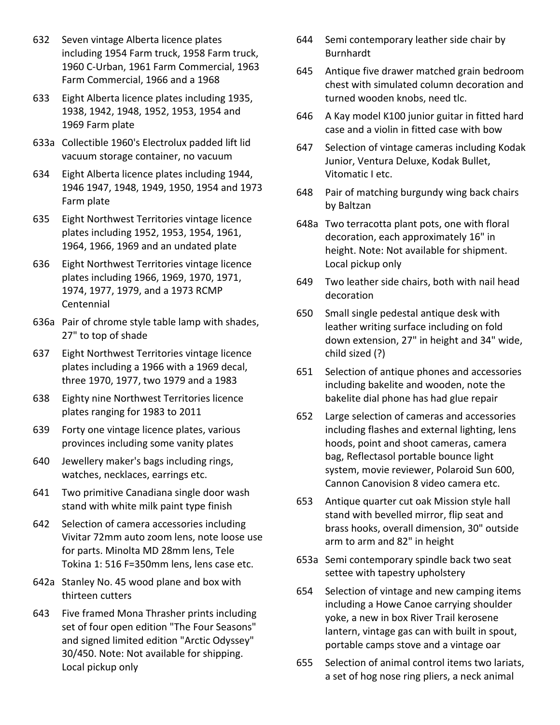- 632 Seven vintage Alberta licence plates including 1954 Farm truck, 1958 Farm truck, 1960 C-Urban, 1961 Farm Commercial, 1963 Farm Commercial, 1966 and a 1968
- 633 Eight Alberta licence plates including 1935, 1938, 1942, 1948, 1952, 1953, 1954 and 1969 Farm plate
- 633a Collectible 1960's Electrolux padded lift lid vacuum storage container, no vacuum
- 634 Eight Alberta licence plates including 1944, 1946 1947, 1948, 1949, 1950, 1954 and 1973 Farm plate
- 635 Eight Northwest Territories vintage licence plates including 1952, 1953, 1954, 1961, 1964, 1966, 1969 and an undated plate
- 636 Eight Northwest Territories vintage licence plates including 1966, 1969, 1970, 1971, 1974, 1977, 1979, and a 1973 RCMP Centennial
- 636a Pair of chrome style table lamp with shades, 27" to top of shade
- 637 Eight Northwest Territories vintage licence plates including a 1966 with a 1969 decal, three 1970, 1977, two 1979 and a 1983
- 638 Eighty nine Northwest Territories licence plates ranging for 1983 to 2011
- 639 Forty one vintage licence plates, various provinces including some vanity plates
- 640 Jewellery maker's bags including rings, watches, necklaces, earrings etc.
- 641 Two primitive Canadiana single door wash stand with white milk paint type finish
- 642 Selection of camera accessories including Vivitar 72mm auto zoom lens, note loose use for parts. Minolta MD 28mm lens, Tele Tokina 1: 516 F=350mm lens, lens case etc.
- 642a Stanley No. 45 wood plane and box with thirteen cutters
- 643 Five framed Mona Thrasher prints including set of four open edition "The Four Seasons" and signed limited edition "Arctic Odyssey" 30/450. Note: Not available for shipping. Local pickup only
- 644 Semi contemporary leather side chair by Burnhardt
- 645 Antique five drawer matched grain bedroom chest with simulated column decoration and turned wooden knobs, need tlc.
- 646 A Kay model K100 junior guitar in fitted hard case and a violin in fitted case with bow
- 647 Selection of vintage cameras including Kodak Junior, Ventura Deluxe, Kodak Bullet, Vitomatic I etc.
- 648 Pair of matching burgundy wing back chairs by Baltzan
- 648a Two terracotta plant pots, one with floral decoration, each approximately 16" in height. Note: Not available for shipment. Local pickup only
- 649 Two leather side chairs, both with nail head decoration
- 650 Small single pedestal antique desk with leather writing surface including on fold down extension, 27" in height and 34" wide, child sized (?)
- 651 Selection of antique phones and accessories including bakelite and wooden, note the bakelite dial phone has had glue repair
- 652 Large selection of cameras and accessories including flashes and external lighting, lens hoods, point and shoot cameras, camera bag, Reflectasol portable bounce light system, movie reviewer, Polaroid Sun 600, Cannon Canovision 8 video camera etc.
- 653 Antique quarter cut oak Mission style hall stand with bevelled mirror, flip seat and brass hooks, overall dimension, 30" outside arm to arm and 82" in height
- 653a Semi contemporary spindle back two seat settee with tapestry upholstery
- 654 Selection of vintage and new camping items including a Howe Canoe carrying shoulder yoke, a new in box River Trail kerosene lantern, vintage gas can with built in spout, portable camps stove and a vintage oar
- 655 Selection of animal control items two lariats, a set of hog nose ring pliers, a neck animal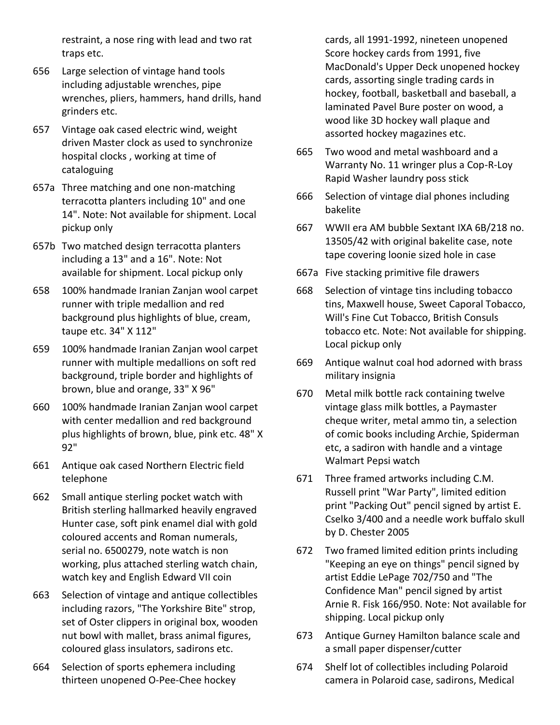restraint, a nose ring with lead and two rat traps etc.

- 656 Large selection of vintage hand tools including adjustable wrenches, pipe wrenches, pliers, hammers, hand drills, hand grinders etc.
- 657 Vintage oak cased electric wind, weight driven Master clock as used to synchronize hospital clocks , working at time of cataloguing
- 657a Three matching and one non-matching terracotta planters including 10" and one 14". Note: Not available for shipment. Local pickup only
- 657b Two matched design terracotta planters including a 13" and a 16". Note: Not available for shipment. Local pickup only
- 658 100% handmade Iranian Zanjan wool carpet runner with triple medallion and red background plus highlights of blue, cream, taupe etc. 34" X 112"
- 659 100% handmade Iranian Zanjan wool carpet runner with multiple medallions on soft red background, triple border and highlights of brown, blue and orange, 33" X 96"
- 660 100% handmade Iranian Zanjan wool carpet with center medallion and red background plus highlights of brown, blue, pink etc. 48" X 92"
- 661 Antique oak cased Northern Electric field telephone
- 662 Small antique sterling pocket watch with British sterling hallmarked heavily engraved Hunter case, soft pink enamel dial with gold coloured accents and Roman numerals, serial no. 6500279, note watch is non working, plus attached sterling watch chain, watch key and English Edward VII coin
- 663 Selection of vintage and antique collectibles including razors, "The Yorkshire Bite" strop, set of Oster clippers in original box, wooden nut bowl with mallet, brass animal figures, coloured glass insulators, sadirons etc.
- 664 Selection of sports ephemera including thirteen unopened O-Pee-Chee hockey

cards, all 1991-1992, nineteen unopened Score hockey cards from 1991, five MacDonald's Upper Deck unopened hockey cards, assorting single trading cards in hockey, football, basketball and baseball, a laminated Pavel Bure poster on wood, a wood like 3D hockey wall plaque and assorted hockey magazines etc.

- 665 Two wood and metal washboard and a Warranty No. 11 wringer plus a Cop-R-Loy Rapid Washer laundry poss stick
- 666 Selection of vintage dial phones including bakelite
- 667 WWII era AM bubble Sextant IXA 6B/218 no. 13505/42 with original bakelite case, note tape covering loonie sized hole in case
- 667a Five stacking primitive file drawers
- 668 Selection of vintage tins including tobacco tins, Maxwell house, Sweet Caporal Tobacco, Will's Fine Cut Tobacco, British Consuls tobacco etc. Note: Not available for shipping. Local pickup only
- 669 Antique walnut coal hod adorned with brass military insignia
- 670 Metal milk bottle rack containing twelve vintage glass milk bottles, a Paymaster cheque writer, metal ammo tin, a selection of comic books including Archie, Spiderman etc, a sadiron with handle and a vintage Walmart Pepsi watch
- 671 Three framed artworks including C.M. Russell print "War Party", limited edition print "Packing Out" pencil signed by artist E. Cselko 3/400 and a needle work buffalo skull by D. Chester 2005
- 672 Two framed limited edition prints including "Keeping an eye on things" pencil signed by artist Eddie LePage 702/750 and "The Confidence Man" pencil signed by artist Arnie R. Fisk 166/950. Note: Not available for shipping. Local pickup only
- 673 Antique Gurney Hamilton balance scale and a small paper dispenser/cutter
- 674 Shelf lot of collectibles including Polaroid camera in Polaroid case, sadirons, Medical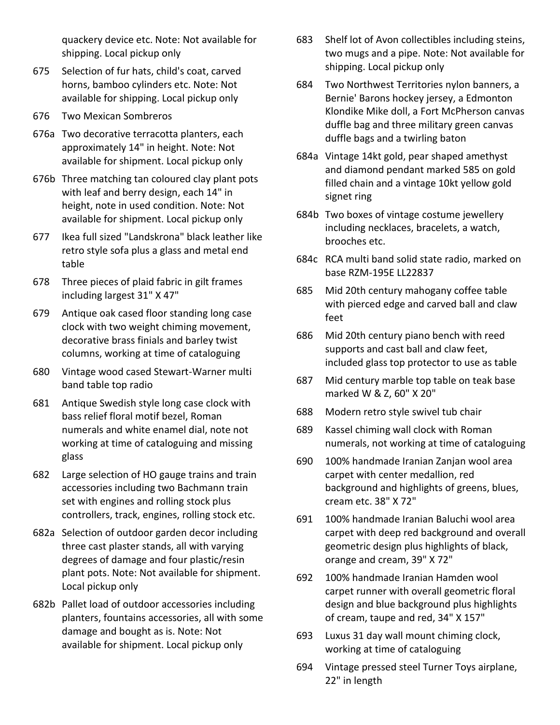quackery device etc. Note: Not available for shipping. Local pickup only

- 675 Selection of fur hats, child's coat, carved horns, bamboo cylinders etc. Note: Not available for shipping. Local pickup only
- 676 Two Mexican Sombreros
- 676a Two decorative terracotta planters, each approximately 14" in height. Note: Not available for shipment. Local pickup only
- 676b Three matching tan coloured clay plant pots with leaf and berry design, each 14" in height, note in used condition. Note: Not available for shipment. Local pickup only
- 677 Ikea full sized "Landskrona" black leather like retro style sofa plus a glass and metal end table
- 678 Three pieces of plaid fabric in gilt frames including largest 31" X 47"
- 679 Antique oak cased floor standing long case clock with two weight chiming movement, decorative brass finials and barley twist columns, working at time of cataloguing
- 680 Vintage wood cased Stewart-Warner multi band table top radio
- 681 Antique Swedish style long case clock with bass relief floral motif bezel, Roman numerals and white enamel dial, note not working at time of cataloguing and missing glass
- 682 Large selection of HO gauge trains and train accessories including two Bachmann train set with engines and rolling stock plus controllers, track, engines, rolling stock etc.
- 682a Selection of outdoor garden decor including three cast plaster stands, all with varying degrees of damage and four plastic/resin plant pots. Note: Not available for shipment. Local pickup only
- 682b Pallet load of outdoor accessories including planters, fountains accessories, all with some damage and bought as is. Note: Not available for shipment. Local pickup only
- 683 Shelf lot of Avon collectibles including steins, two mugs and a pipe. Note: Not available for shipping. Local pickup only
- 684 Two Northwest Territories nylon banners, a Bernie' Barons hockey jersey, a Edmonton Klondike Mike doll, a Fort McPherson canvas duffle bag and three military green canvas duffle bags and a twirling baton
- 684a Vintage 14kt gold, pear shaped amethyst and diamond pendant marked 585 on gold filled chain and a vintage 10kt yellow gold signet ring
- 684b Two boxes of vintage costume jewellery including necklaces, bracelets, a watch, brooches etc.
- 684c RCA multi band solid state radio, marked on base RZM-195E LL22837
- 685 Mid 20th century mahogany coffee table with pierced edge and carved ball and claw feet
- 686 Mid 20th century piano bench with reed supports and cast ball and claw feet, included glass top protector to use as table
- 687 Mid century marble top table on teak base marked W & Z, 60" X 20"
- 688 Modern retro style swivel tub chair
- 689 Kassel chiming wall clock with Roman numerals, not working at time of cataloguing
- 690 100% handmade Iranian Zanjan wool area carpet with center medallion, red background and highlights of greens, blues, cream etc. 38" X 72"
- 691 100% handmade Iranian Baluchi wool area carpet with deep red background and overall geometric design plus highlights of black, orange and cream, 39" X 72"
- 692 100% handmade Iranian Hamden wool carpet runner with overall geometric floral design and blue background plus highlights of cream, taupe and red, 34" X 157"
- 693 Luxus 31 day wall mount chiming clock, working at time of cataloguing
- 694 Vintage pressed steel Turner Toys airplane, 22" in length